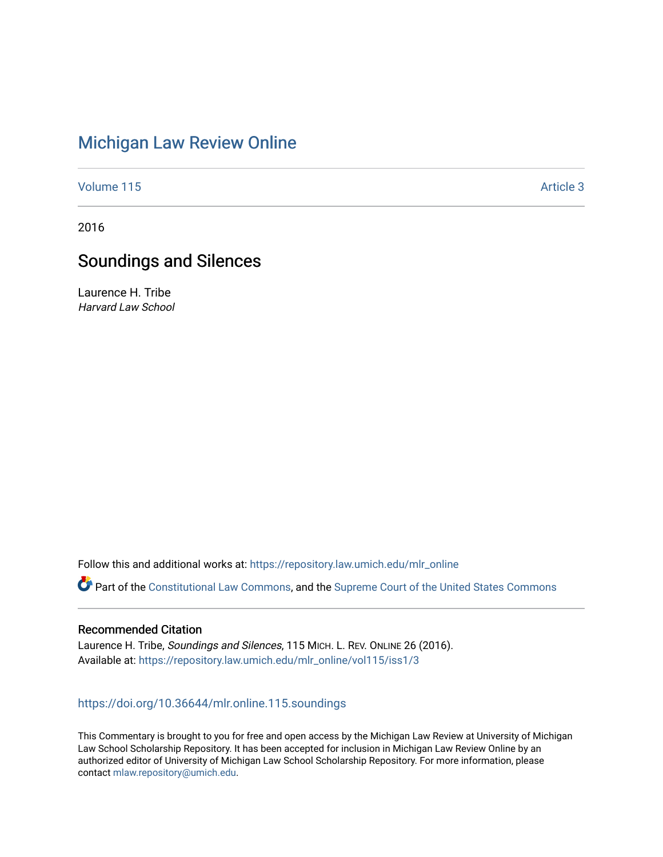# [Michigan Law Review Online](https://repository.law.umich.edu/mlr_online)

[Volume 115](https://repository.law.umich.edu/mlr_online/vol115) Article 3

2016

# Soundings and Silences

Laurence H. Tribe Harvard Law School

Follow this and additional works at: [https://repository.law.umich.edu/mlr\\_online](https://repository.law.umich.edu/mlr_online?utm_source=repository.law.umich.edu%2Fmlr_online%2Fvol115%2Fiss1%2F3&utm_medium=PDF&utm_campaign=PDFCoverPages) 

Part of the [Constitutional Law Commons,](http://network.bepress.com/hgg/discipline/589?utm_source=repository.law.umich.edu%2Fmlr_online%2Fvol115%2Fiss1%2F3&utm_medium=PDF&utm_campaign=PDFCoverPages) and the [Supreme Court of the United States Commons](http://network.bepress.com/hgg/discipline/1350?utm_source=repository.law.umich.edu%2Fmlr_online%2Fvol115%2Fiss1%2F3&utm_medium=PDF&utm_campaign=PDFCoverPages)

# Recommended Citation

Laurence H. Tribe, Soundings and Silences, 115 MICH. L. REV. ONLINE 26 (2016). Available at: [https://repository.law.umich.edu/mlr\\_online/vol115/iss1/3](https://repository.law.umich.edu/mlr_online/vol115/iss1/3?utm_source=repository.law.umich.edu%2Fmlr_online%2Fvol115%2Fiss1%2F3&utm_medium=PDF&utm_campaign=PDFCoverPages)

# <https://doi.org/10.36644/mlr.online.115.soundings>

This Commentary is brought to you for free and open access by the Michigan Law Review at University of Michigan Law School Scholarship Repository. It has been accepted for inclusion in Michigan Law Review Online by an authorized editor of University of Michigan Law School Scholarship Repository. For more information, please contact [mlaw.repository@umich.edu](mailto:mlaw.repository@umich.edu).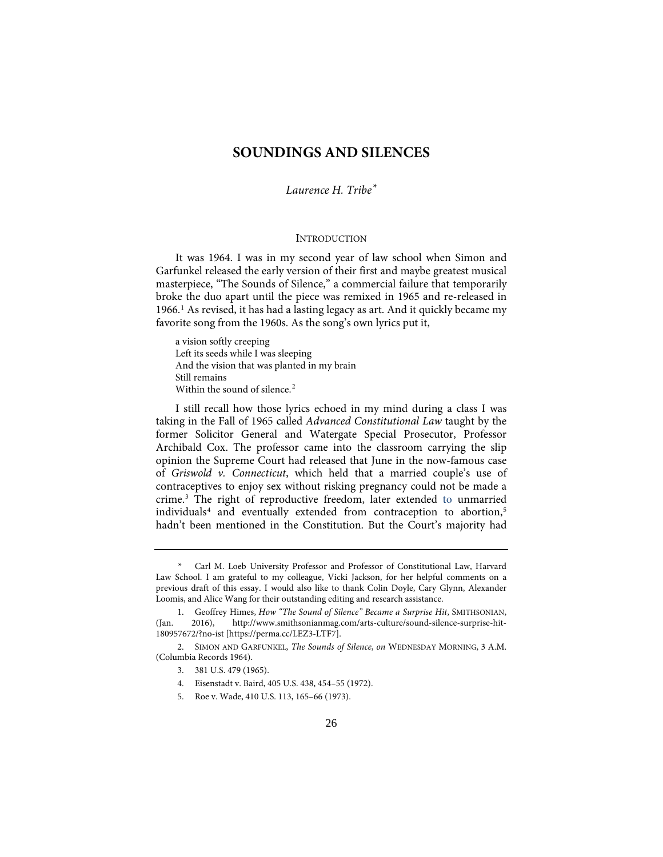# **SOUNDINGS AND SILENCES**

*Laurence H. Tribe[\\*](#page-1-0)*

# INTRODUCTION

It was 1964. I was in my second year of law school when Simon and Garfunkel released the early version of their first and maybe greatest musical masterpiece, "The Sounds of Silence," a commercial failure that temporarily broke the duo apart until the piece was remixed in 1965 and re-released in [1](#page-1-1)966.<sup>1</sup> As revised, it has had a lasting legacy as art. And it quickly became my favorite song from the 1960s. As the song's own lyrics put it,

a vision softly creeping Left its seeds while I was sleeping And the vision that was planted in my brain Still remains Within the sound of silence.<sup>[2](#page-1-2)</sup>

I still recall how those lyrics echoed in my mind during a class I was taking in the Fall of 1965 called *Advanced Constitutional Law* taught by the former Solicitor General and Watergate Special Prosecutor, Professor Archibald Cox. The professor came into the classroom carrying the slip opinion the Supreme Court had released that June in the now-famous case of *Griswold v. Connecticut*, which held that a married couple's use of contraceptives to enjoy sex without risking pregnancy could not be made a crime.[3](#page-1-3) The right of reproductive freedom, later extended to unmarried individuals<sup>[4](#page-1-4)</sup> and eventually extended from contraception to abortion,<sup>[5](#page-1-5)</sup> hadn't been mentioned in the Constitution. But the Court's majority had

<span id="page-1-0"></span> <sup>\*</sup> Carl M. Loeb University Professor and Professor of Constitutional Law, Harvard Law School. I am grateful to my colleague, Vicki Jackson, for her helpful comments on a previous draft of this essay. I would also like to thank Colin Doyle, Cary Glynn, Alexander Loomis, and Alice Wang for their outstanding editing and research assistance.

<span id="page-1-1"></span> <sup>1.</sup> Geoffrey Himes, *How "The Sound of Silence" Became a Surprise Hit*, SMITHSONIAN, (Jan. 2016), http://www.smithsonianmag.com/arts-culture/sound-silence-surprise-hit-180957672/?no-ist [https://perma.cc/LEZ3-LTF7].

<span id="page-1-5"></span><span id="page-1-4"></span><span id="page-1-3"></span><span id="page-1-2"></span> <sup>2.</sup> SIMON AND GARFUNKEL, *The Sounds of Silence*, *on* WEDNESDAY MORNING, 3 A.M. (Columbia Records 1964).

 <sup>3. 381</sup> U.S. 479 (1965).

 <sup>4.</sup> Eisenstadt v. Baird, 405 U.S. 438, 454–55 (1972).

 <sup>5.</sup> Roe v. Wade, 410 U.S. 113, 165–66 (1973).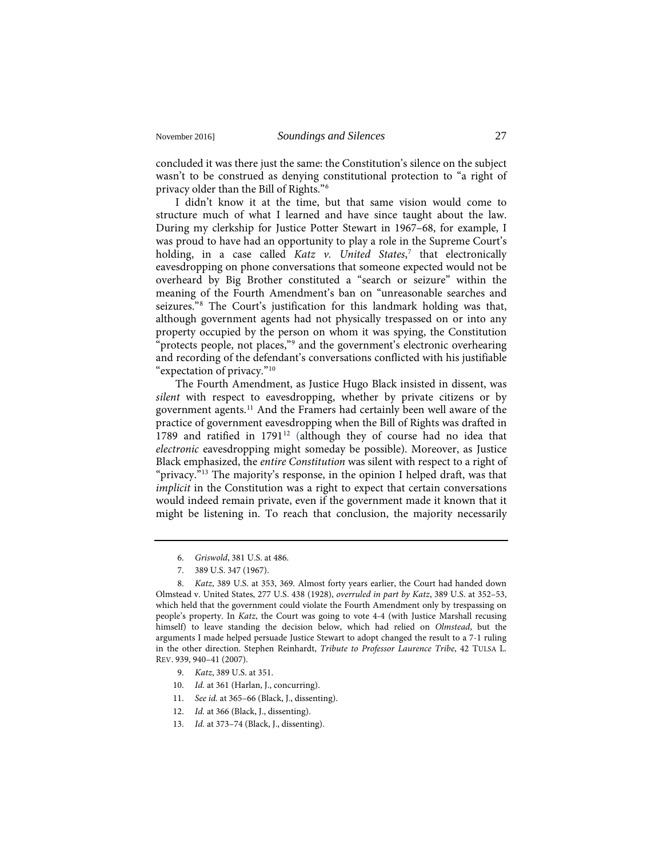concluded it was there just the same: the Constitution's silence on the subject wasn't to be construed as denying constitutional protection to "a right of privacy older than the Bill of Rights.["6](#page-2-0)

I didn't know it at the time, but that same vision would come to structure much of what I learned and have since taught about the law. During my clerkship for Justice Potter Stewart in 1967–68, for example, I was proud to have had an opportunity to play a role in the Supreme Court's holding, in a case called *Katz v. United States*, [7](#page-2-1) that electronically eavesdropping on phone conversations that someone expected would not be overheard by Big Brother constituted a "search or seizure" within the meaning of the Fourth Amendment's ban on "unreasonable searches and seizures."[8](#page-2-2) The Court's justification for this landmark holding was that, although government agents had not physically trespassed on or into any property occupied by the person on whom it was spying, the Constitution "protects people, not places,"[9](#page-2-3) and the government's electronic overhearing and recording of the defendant's conversations conflicted with his justifiable "expectation of privacy."[10](#page-2-4)

The Fourth Amendment, as Justice Hugo Black insisted in dissent, was *silent* with respect to eavesdropping, whether by private citizens or by government agents.[11](#page-2-5) And the Framers had certainly been well aware of the practice of government eavesdropping when the Bill of Rights was drafted in 1789 and ratified in 1791<sup>[12](#page-2-6)</sup> (although they of course had no idea that *electronic* eavesdropping might someday be possible). Moreover, as Justice Black emphasized, the *entire Constitution* was silent with respect to a right of "privacy."<sup>[13](#page-2-7)</sup> The majority's response, in the opinion I helped draft, was that *implicit* in the Constitution was a right to expect that certain conversations would indeed remain private, even if the government made it known that it might be listening in. To reach that conclusion, the majority necessarily

- <span id="page-2-3"></span>10. *Id.* at 361 (Harlan, J., concurring).
- <span id="page-2-6"></span><span id="page-2-5"></span><span id="page-2-4"></span>11. *See id.* at 365–66 (Black, J., dissenting).
- 12. *Id.* at 366 (Black, J., dissenting).
- <span id="page-2-7"></span>13. *Id.* at 373–74 (Black, J., dissenting).

 <sup>6.</sup> *Griswold*, 381 U.S. at 486.

 <sup>7. 389</sup> U.S. 347 (1967).

<span id="page-2-2"></span><span id="page-2-1"></span><span id="page-2-0"></span> <sup>8.</sup> *Katz*, 389 U.S. at 353, 369. Almost forty years earlier, the Court had handed down Olmstead v. United States, 277 U.S. 438 (1928), *overruled in part by Katz*, 389 U.S. at 352–53, which held that the government could violate the Fourth Amendment only by trespassing on people's property. In *Katz*, the Court was going to vote 4-4 (with Justice Marshall recusing himself) to leave standing the decision below, which had relied on *Olmstead*, but the arguments I made helped persuade Justice Stewart to adopt changed the result to a 7-1 ruling in the other direction. Stephen Reinhardt, *Tribute to Professor Laurence Tribe*, 42 TULSA L. REV. 939, 940–41 (2007).

 <sup>9.</sup> *Katz*, 389 U.S. at 351.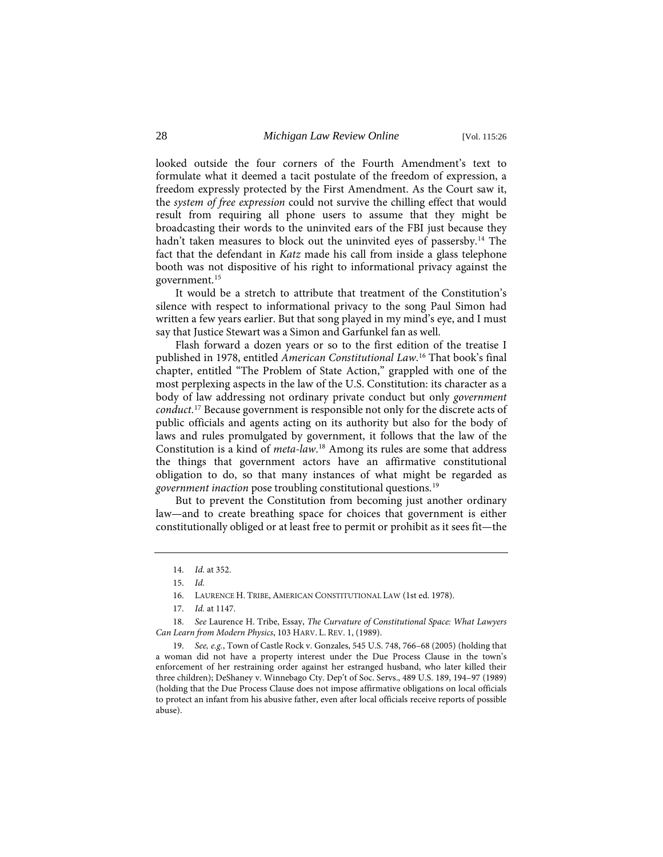looked outside the four corners of the Fourth Amendment's text to formulate what it deemed a tacit postulate of the freedom of expression, a freedom expressly protected by the First Amendment. As the Court saw it, the *system of free expression* could not survive the chilling effect that would result from requiring all phone users to assume that they might be broadcasting their words to the uninvited ears of the FBI just because they hadn't taken measures to block out the uninvited eyes of passersby.<sup>14</sup> The fact that the defendant in *Katz* made his call from inside a glass telephone booth was not dispositive of his right to informational privacy against the government.[15](#page-3-1)

It would be a stretch to attribute that treatment of the Constitution's silence with respect to informational privacy to the song Paul Simon had written a few years earlier. But that song played in my mind's eye, and I must say that Justice Stewart was a Simon and Garfunkel fan as well.

<span id="page-3-6"></span>Flash forward a dozen years or so to the first edition of the treatise I published in 1978, entitled *American Constitutional Law*. [16](#page-3-2) That book's final chapter, entitled "The Problem of State Action," grappled with one of the most perplexing aspects in the law of the U.S. Constitution: its character as a body of law addressing not ordinary private conduct but only *government conduct*. [17](#page-3-3) Because government is responsible not only for the discrete acts of public officials and agents acting on its authority but also for the body of laws and rules promulgated by government, it follows that the law of the Constitution is a kind of *meta-law*. [18](#page-3-4) Among its rules are some that address the things that government actors have an affirmative constitutional obligation to do, so that many instances of what might be regarded as *government inaction* pose troubling constitutional questions.[19](#page-3-5)

But to prevent the Constitution from becoming just another ordinary law—and to create breathing space for choices that government is either constitutionally obliged or at least free to permit or prohibit as it sees fit—the

<span id="page-3-5"></span>19. *See, e.g.*, Town of Castle Rock v. Gonzales, 545 U.S. 748, 766–68 (2005) (holding that a woman did not have a property interest under the Due Process Clause in the town's enforcement of her restraining order against her estranged husband, who later killed their three children); DeShaney v. Winnebago Cty. Dep't of Soc. Servs., 489 U.S. 189, 194–97 (1989) (holding that the Due Process Clause does not impose affirmative obligations on local officials to protect an infant from his abusive father, even after local officials receive reports of possible abuse).

<sup>14.</sup> *Id.* at 352.

<sup>15.</sup> *Id.*

<sup>16.</sup> LAURENCE H. TRIBE, AMERICAN CONSTITUTIONAL LAW (1st ed. 1978).

<sup>17.</sup> *Id.* at 1147.

<span id="page-3-4"></span><span id="page-3-3"></span><span id="page-3-2"></span><span id="page-3-1"></span><span id="page-3-0"></span><sup>18.</sup> *See* Laurence H. Tribe, Essay, *The Curvature of Constitutional Space: What Lawyers Can Learn from Modern Physics*, 103 HARV. L. REV. 1, (1989).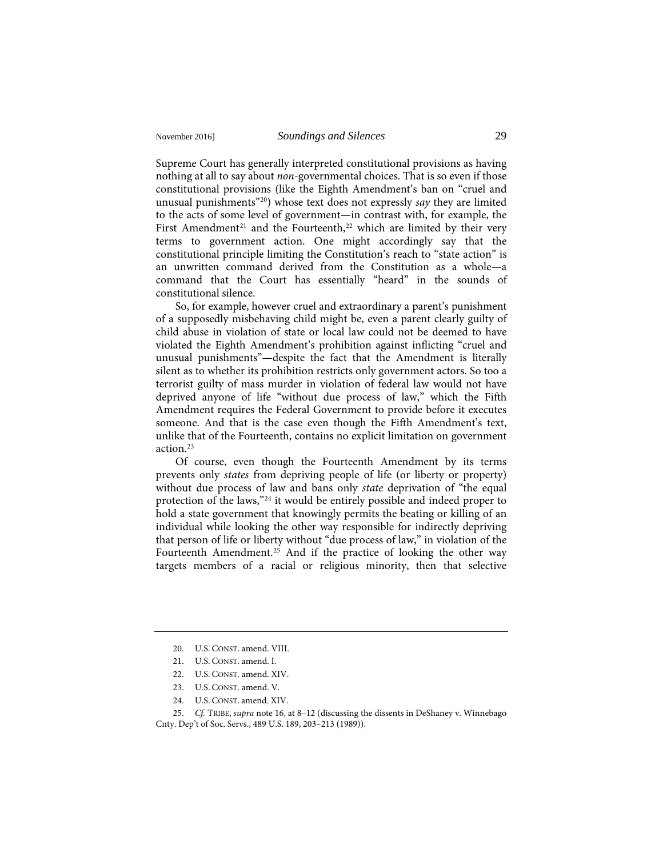Supreme Court has generally interpreted constitutional provisions as having nothing at all to say about *non*-governmental choices. That is so even if those constitutional provisions (like the Eighth Amendment's ban on "cruel and unusual punishments["20\)](#page-4-0) whose text does not expressly *say* they are limited to the acts of some level of government—in contrast with, for example, the First Amendment<sup>[21](#page-4-1)</sup> and the Fourteenth,<sup>[22](#page-4-2)</sup> which are limited by their very terms to government action. One might accordingly say that the constitutional principle limiting the Constitution's reach to "state action" is an unwritten command derived from the Constitution as a whole—a command that the Court has essentially "heard" in the sounds of constitutional silence.

So, for example, however cruel and extraordinary a parent's punishment of a supposedly misbehaving child might be, even a parent clearly guilty of child abuse in violation of state or local law could not be deemed to have violated the Eighth Amendment's prohibition against inflicting "cruel and unusual punishments"—despite the fact that the Amendment is literally silent as to whether its prohibition restricts only government actors. So too a terrorist guilty of mass murder in violation of federal law would not have deprived anyone of life "without due process of law," which the Fifth Amendment requires the Federal Government to provide before it executes someone. And that is the case even though the Fifth Amendment's text, unlike that of the Fourteenth, contains no explicit limitation on government action.[23](#page-4-3)

Of course, even though the Fourteenth Amendment by its terms prevents only *states* from depriving people of life (or liberty or property) without due process of law and bans only *state* deprivation of "the equal protection of the laws,"[24](#page-4-4) it would be entirely possible and indeed proper to hold a state government that knowingly permits the beating or killing of an individual while looking the other way responsible for indirectly depriving that person of life or liberty without "due process of law," in violation of the Fourteenth Amendment.<sup>[25](#page-4-5)</sup> And if the practice of looking the other way targets members of a racial or religious minority, then that selective

<sup>20.</sup> U.S. CONST. amend. VIII.

<sup>21.</sup> U.S. CONST. amend. I.

<sup>22.</sup> U.S. CONST. amend. XIV.

<sup>23.</sup> U.S. CONST. amend. V.

<sup>24.</sup> U.S. CONST. amend. XIV.

<span id="page-4-5"></span><span id="page-4-4"></span><span id="page-4-3"></span><span id="page-4-2"></span><span id="page-4-1"></span><span id="page-4-0"></span><sup>25.</sup> *Cf.* TRIBE, *supra* note [16,](#page-3-6) at 8–12 (discussing the dissents in DeShaney v. Winnebago Cnty. Dep't of Soc. Servs., 489 U.S. 189, 203–213 (1989)).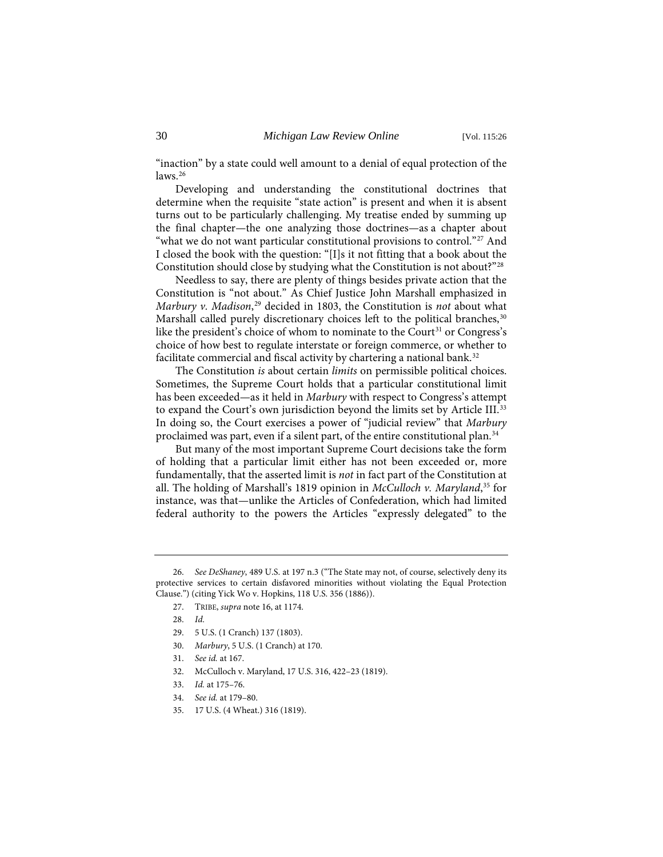"inaction" by a state could well amount to a denial of equal protection of the  $laws.<sup>26</sup>$  $laws.<sup>26</sup>$  $laws.<sup>26</sup>$ 

Developing and understanding the constitutional doctrines that determine when the requisite "state action" is present and when it is absent turns out to be particularly challenging. My treatise ended by summing up the final chapter—the one analyzing those doctrines—as a chapter about "what we do not want particular constitutional provisions to control."<sup>[27](#page-5-1)</sup> And I closed the book with the question: "[I]s it not fitting that a book about the Constitution should close by studying what the Constitution is not about?"[28](#page-5-2)

Needless to say, there are plenty of things besides private action that the Constitution is "not about." As Chief Justice John Marshall emphasized in *Marbury v. Madison*, [29](#page-5-3) decided in 1803, the Constitution is *not* about what Marshall called purely discretionary choices left to the political branches,<sup>[30](#page-5-4)</sup> like the president's choice of whom to nominate to the Court<sup>[31](#page-5-5)</sup> or Congress's choice of how best to regulate interstate or foreign commerce, or whether to facilitate commercial and fiscal activity by chartering a national bank.<sup>[32](#page-5-6)</sup>

The Constitution *is* about certain *limits* on permissible political choices. Sometimes, the Supreme Court holds that a particular constitutional limit has been exceeded—as it held in *Marbury* with respect to Congress's attempt to expand the Court's own jurisdiction beyond the limits set by Article III.<sup>[33](#page-5-7)</sup> In doing so, the Court exercises a power of "judicial review" that *Marbury* proclaimed was part, even if a silent part, of the entire constitutional plan[.34](#page-5-8)

But many of the most important Supreme Court decisions take the form of holding that a particular limit either has not been exceeded or, more fundamentally, that the asserted limit is *not* in fact part of the Constitution at all. The holding of Marshall's 1819 opinion in *McCulloch v. Maryland*, [35](#page-5-9) for instance, was that—unlike the Articles of Confederation, which had limited federal authority to the powers the Articles "expressly delegated" to the

- 30. *Marbury*, 5 U.S. (1 Cranch) at 170.
- <span id="page-5-5"></span>31. *See id.* at 167.
- <span id="page-5-6"></span>32. McCulloch v. Maryland, 17 U.S. 316, 422–23 (1819).
- <span id="page-5-7"></span>33. *Id.* at 175–76.
- <span id="page-5-8"></span>34. *See id.* at 179–80.
- <span id="page-5-9"></span>35. 17 U.S. (4 Wheat.) 316 (1819).

<span id="page-5-4"></span><span id="page-5-3"></span><span id="page-5-2"></span><span id="page-5-1"></span><span id="page-5-0"></span><sup>26.</sup> *See DeShaney*, 489 U.S. at 197 n.3 ("The State may not, of course, selectively deny its protective services to certain disfavored minorities without violating the Equal Protection Clause.") (citing Yick Wo v. Hopkins, 118 U.S. 356 (1886)).

<sup>27.</sup> TRIBE, *supra* not[e 16,](#page-3-6) at 1174.

<sup>28.</sup> *Id.*

<sup>29. 5</sup> U.S. (1 Cranch) 137 (1803).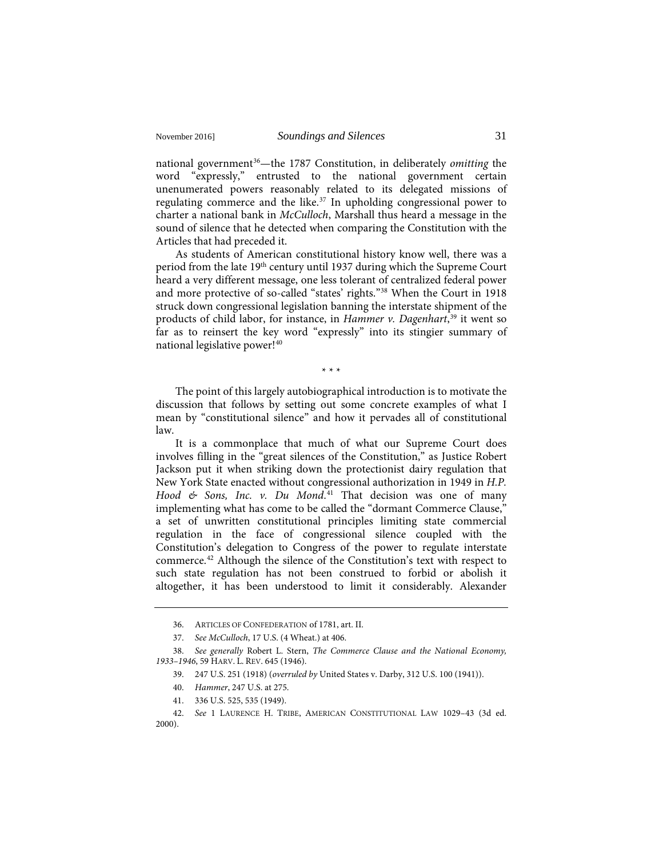national government<sup>[36](#page-6-0)</sup>—the 1787 Constitution, in deliberately *omitting* the word "expressly," entrusted to the national government certain unenumerated powers reasonably related to its delegated missions of regulating commerce and the like.<sup>[37](#page-6-1)</sup> In upholding congressional power to charter a national bank in *McCulloch*, Marshall thus heard a message in the sound of silence that he detected when comparing the Constitution with the Articles that had preceded it.

As students of American constitutional history know well, there was a period from the late 19<sup>th</sup> century until 1937 during which the Supreme Court heard a very different message, one less tolerant of centralized federal power and more protective of so-called "states' rights."[38](#page-6-2) When the Court in 1918 struck down congressional legislation banning the interstate shipment of the products of child labor, for instance, in *Hammer v. Dagenhart*, [39](#page-6-3) it went so far as to reinsert the key word "expressly" into its stingier summary of national legislative power![40](#page-6-4) 

\* \* \*

The point of this largely autobiographical introduction is to motivate the discussion that follows by setting out some concrete examples of what I mean by "constitutional silence" and how it pervades all of constitutional law.

It is a commonplace that much of what our Supreme Court does involves filling in the "great silences of the Constitution," as Justice Robert Jackson put it when striking down the protectionist dairy regulation that New York State enacted without congressional authorization in 1949 in *H.P. Hood & Sons, Inc. v. Du Mond*. [41](#page-6-5) That decision was one of many implementing what has come to be called the "dormant Commerce Clause," a set of unwritten constitutional principles limiting state commercial regulation in the face of congressional silence coupled with the Constitution's delegation to Congress of the power to regulate interstate commerce.[42](#page-6-6) Although the silence of the Constitution's text with respect to such state regulation has not been construed to forbid or abolish it altogether, it has been understood to limit it considerably. Alexander

<sup>36.</sup> ARTICLES OF CONFEDERATION of 1781, art. II.

<sup>37.</sup> *See McCulloch*, 17 U.S. (4 Wheat.) at 406.

<span id="page-6-2"></span><span id="page-6-1"></span><span id="page-6-0"></span><sup>38.</sup> *See generally* Robert L. Stern, *The Commerce Clause and the National Economy, 1933–1946*, 59 HARV. L. REV. 645 (1946).

<sup>39. 247</sup> U.S. 251 (1918) (*overruled by* United States v. Darby, 312 U.S. 100 (1941)).

<sup>40.</sup> *Hammer*, 247 U.S. at 275.

<sup>41. 336</sup> U.S. 525, 535 (1949).

<span id="page-6-6"></span><span id="page-6-5"></span><span id="page-6-4"></span><span id="page-6-3"></span><sup>42.</sup> *See* 1 LAURENCE H. TRIBE, AMERICAN CONSTITUTIONAL LAW 1029–43 (3d ed. 2000).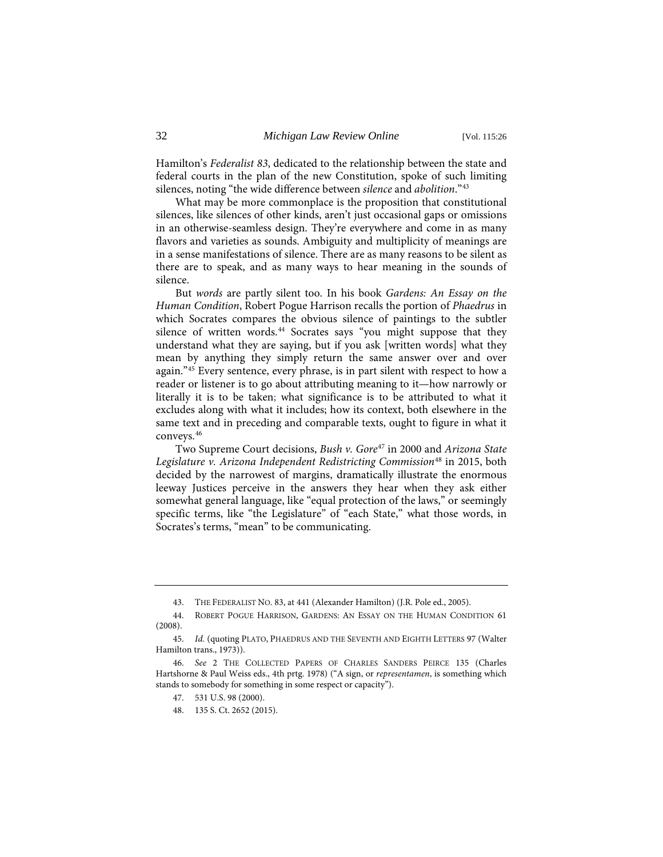Hamilton's *Federalist 83*, dedicated to the relationship between the state and federal courts in the plan of the new Constitution, spoke of such limiting silences, noting "the wide difference between *silence* and *abolition*."[43](#page-7-0)

What may be more commonplace is the proposition that constitutional silences, like silences of other kinds, aren't just occasional gaps or omissions in an otherwise-seamless design. They're everywhere and come in as many flavors and varieties as sounds. Ambiguity and multiplicity of meanings are in a sense manifestations of silence. There are as many reasons to be silent as there are to speak, and as many ways to hear meaning in the sounds of silence.

But *words* are partly silent too. In his book *Gardens: An Essay on the Human Condition*, Robert Pogue Harrison recalls the portion of *Phaedrus* in which Socrates compares the obvious silence of paintings to the subtler silence of written words.<sup>[44](#page-7-1)</sup> Socrates says "you might suppose that they understand what they are saying, but if you ask [written words] what they mean by anything they simply return the same answer over and over again."[45](#page-7-2) Every sentence, every phrase, is in part silent with respect to how a reader or listener is to go about attributing meaning to it—how narrowly or literally it is to be taken; what significance is to be attributed to what it excludes along with what it includes; how its context, both elsewhere in the same text and in preceding and comparable texts, ought to figure in what it conveys.[46](#page-7-3)

Two Supreme Court decisions, *Bush v. Gore*[47](#page-7-4) in 2000 and *Arizona State* Legislature v. Arizona Independent Redistricting Commission<sup>[48](#page-7-5)</sup> in 2015, both decided by the narrowest of margins, dramatically illustrate the enormous leeway Justices perceive in the answers they hear when they ask either somewhat general language, like "equal protection of the laws," or seemingly specific terms, like "the Legislature" of "each State," what those words, in Socrates's terms, "mean" to be communicating.

<sup>43.</sup> THE FEDERALIST NO. 83, at 441 (Alexander Hamilton) (J.R. Pole ed., 2005).

<span id="page-7-1"></span><span id="page-7-0"></span><sup>44.</sup> ROBERT POGUE HARRISON, GARDENS: AN ESSAY ON THE HUMAN CONDITION 61 (2008).

<span id="page-7-2"></span><sup>45.</sup> *Id.* (quoting PLATO, PHAEDRUS AND THE SEVENTH AND EIGHTH LETTERS 97 (Walter Hamilton trans., 1973)).

<span id="page-7-5"></span><span id="page-7-4"></span><span id="page-7-3"></span><sup>46.</sup> *See* 2 THE COLLECTED PAPERS OF CHARLES SANDERS PEIRCE 135 (Charles Hartshorne & Paul Weiss eds., 4th prtg. 1978) ("A sign, or *representamen*, is something which stands to somebody for something in some respect or capacity").

<sup>47. 531</sup> U.S. 98 (2000).

<sup>48. 135</sup> S. Ct. 2652 (2015).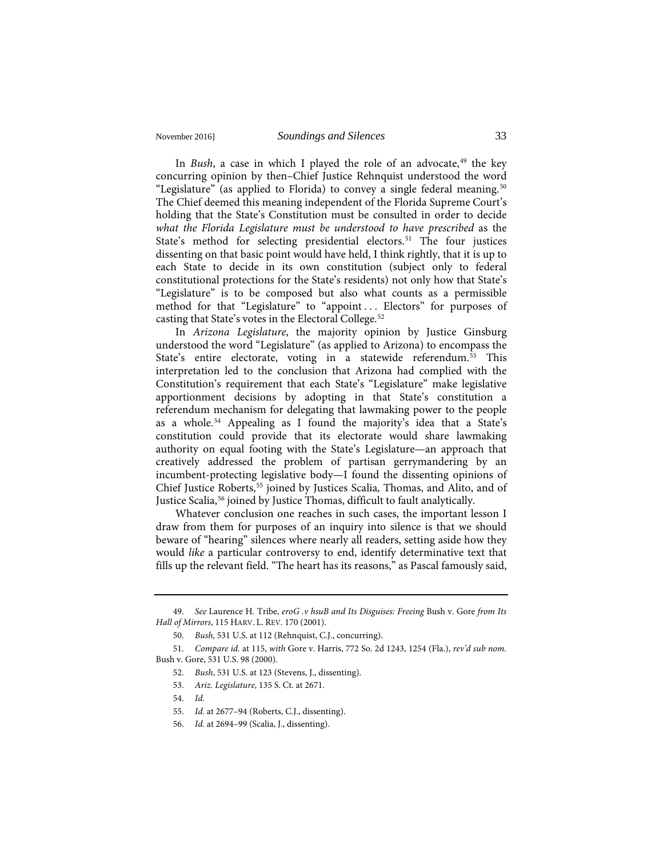## November 2016] *Soundings and Silences* 33

In *Bush*, a case in which I played the role of an advocate,<sup>[49](#page-8-0)</sup> the key concurring opinion by then–Chief Justice Rehnquist understood the word "Legislature" (as applied to Florida) to convey a single federal meaning.<sup>[50](#page-8-1)</sup> The Chief deemed this meaning independent of the Florida Supreme Court's holding that the State's Constitution must be consulted in order to decide *what the Florida Legislature must be understood to have prescribed* as the State's method for selecting presidential electors.<sup>[51](#page-8-2)</sup> The four justices dissenting on that basic point would have held, I think rightly, that it is up to each State to decide in its own constitution (subject only to federal constitutional protections for the State's residents) not only how that State's "Legislature" is to be composed but also what counts as a permissible method for that "Legislature" to "appoint ... Electors" for purposes of casting that State's votes in the Electoral College.<sup>[52](#page-8-3)</sup>

In *Arizona Legislature*, the majority opinion by Justice Ginsburg understood the word "Legislature" (as applied to Arizona) to encompass the State's entire electorate, voting in a statewide referendum.<sup>[53](#page-8-4)</sup> This interpretation led to the conclusion that Arizona had complied with the Constitution's requirement that each State's "Legislature" make legislative apportionment decisions by adopting in that State's constitution a referendum mechanism for delegating that lawmaking power to the people as a whole.[54](#page-8-5) Appealing as I found the majority's idea that a State's constitution could provide that its electorate would share lawmaking authority on equal footing with the State's Legislature—an approach that creatively addressed the problem of partisan gerrymandering by an incumbent-protecting legislative body—I found the dissenting opinions of Chief Justice Roberts,<sup>[55](#page-8-6)</sup> joined by Justices Scalia, Thomas, and Alito, and of Justice Scalia,[56](#page-8-7) joined by Justice Thomas, difficult to fault analytically.

Whatever conclusion one reaches in such cases, the important lesson I draw from them for purposes of an inquiry into silence is that we should beware of "hearing" silences where nearly all readers, setting aside how they would *like* a particular controversy to end, identify determinative text that fills up the relevant field. "The heart has its reasons," as Pascal famously said,

<span id="page-8-0"></span><sup>49.</sup> *See* Laurence H. Tribe, *eroG .v hsuB and Its Disguises: Freeing* Bush v. Gore *from Its Hall of Mirrors*, 115 HARV. L. REV. 170 (2001).

<sup>50.</sup> *Bush*, 531 U.S. at 112 (Rehnquist, C.J., concurring).

<span id="page-8-6"></span><span id="page-8-5"></span><span id="page-8-4"></span><span id="page-8-3"></span><span id="page-8-2"></span><span id="page-8-1"></span><sup>51.</sup> *Compare id.* at 115, *with* Gore v. Harris, 772 So. 2d 1243, 1254 (Fla.), *rev'd sub nom.* Bush v. Gore, 531 U.S. 98 (2000).

<sup>52.</sup> *Bush*, 531 U.S. at 123 (Stevens, J., dissenting).

<sup>53.</sup> *Ariz. Legislature*, 135 S. Ct. at 2671.

<sup>54.</sup> *Id.*

<sup>55.</sup> *Id.* at 2677–94 (Roberts, C.J., dissenting).

<span id="page-8-7"></span><sup>56.</sup> *Id.* at 2694–99 (Scalia, J., dissenting).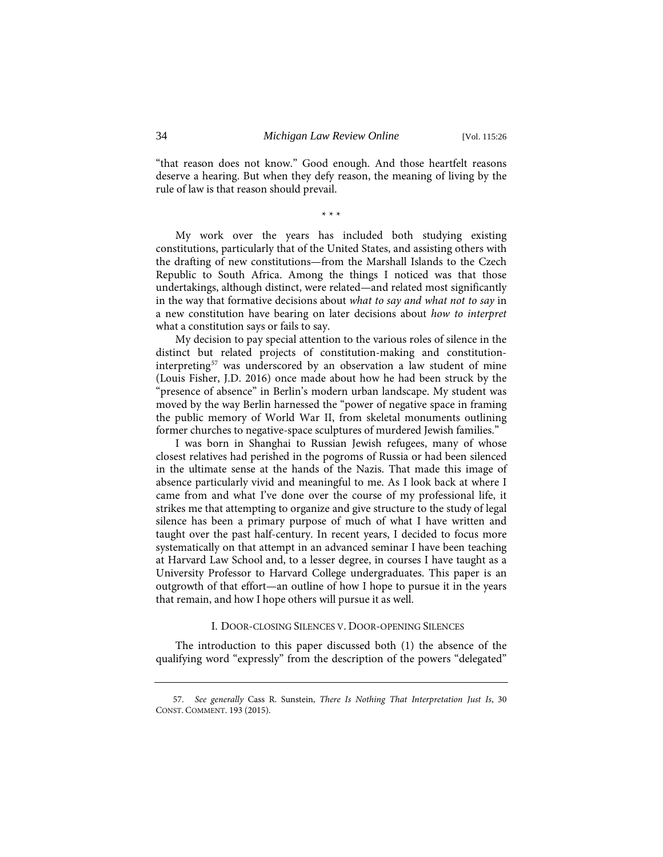"that reason does not know." Good enough. And those heartfelt reasons deserve a hearing. But when they defy reason, the meaning of living by the rule of law is that reason should prevail.

\* \* \*

My work over the years has included both studying existing constitutions, particularly that of the United States, and assisting others with the drafting of new constitutions—from the Marshall Islands to the Czech Republic to South Africa. Among the things I noticed was that those undertakings, although distinct, were related—and related most significantly in the way that formative decisions about *what to say and what not to say* in a new constitution have bearing on later decisions about *how to interpret* what a constitution says or fails to say.

My decision to pay special attention to the various roles of silence in the distinct but related projects of constitution-making and constitution-interpreting<sup>[57](#page-9-0)</sup> was underscored by an observation a law student of mine (Louis Fisher, J.D. 2016) once made about how he had been struck by the "presence of absence" in Berlin's modern urban landscape. My student was moved by the way Berlin harnessed the "power of negative space in framing the public memory of World War II, from skeletal monuments outlining former churches to negative-space sculptures of murdered Jewish families."

I was born in Shanghai to Russian Jewish refugees, many of whose closest relatives had perished in the pogroms of Russia or had been silenced in the ultimate sense at the hands of the Nazis. That made this image of absence particularly vivid and meaningful to me. As I look back at where I came from and what I've done over the course of my professional life, it strikes me that attempting to organize and give structure to the study of legal silence has been a primary purpose of much of what I have written and taught over the past half-century. In recent years, I decided to focus more systematically on that attempt in an advanced seminar I have been teaching at Harvard Law School and, to a lesser degree, in courses I have taught as a University Professor to Harvard College undergraduates. This paper is an outgrowth of that effort—an outline of how I hope to pursue it in the years that remain, and how I hope others will pursue it as well.

#### I. DOOR-CLOSING SILENCES V. DOOR-OPENING SILENCES

The introduction to this paper discussed both (1) the absence of the qualifying word "expressly" from the description of the powers "delegated"

<span id="page-9-0"></span><sup>57.</sup> *See generally* Cass R. Sunstein, *There Is Nothing That Interpretation Just Is*, 30 CONST. COMMENT. 193 (2015).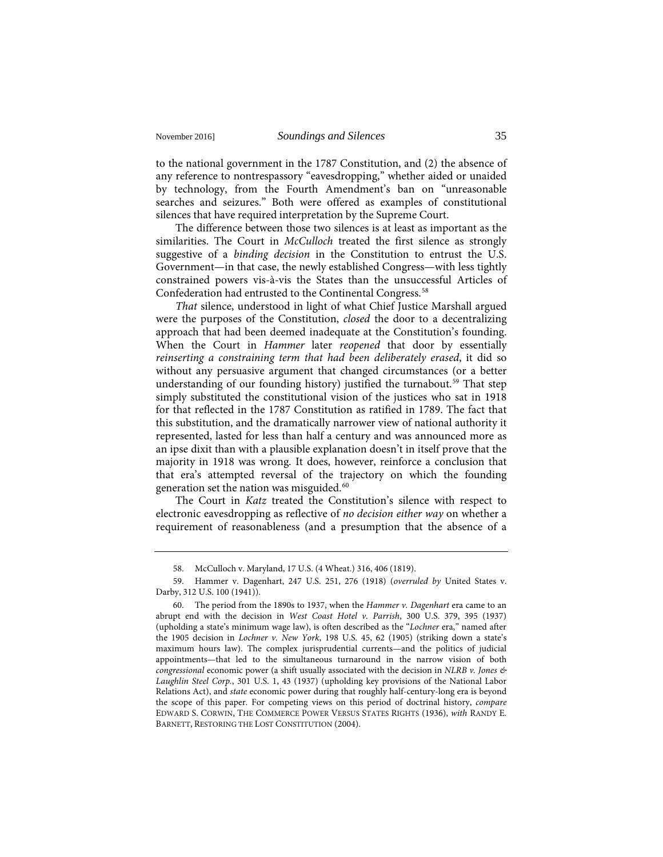to the national government in the 1787 Constitution, and (2) the absence of any reference to nontrespassory "eavesdropping," whether aided or unaided by technology, from the Fourth Amendment's ban on "unreasonable searches and seizures." Both were offered as examples of constitutional silences that have required interpretation by the Supreme Court.

The difference between those two silences is at least as important as the similarities. The Court in *McCulloch* treated the first silence as strongly suggestive of a *binding decision* in the Constitution to entrust the U.S. Government—in that case, the newly established Congress—with less tightly constrained powers vis-à-vis the States than the unsuccessful Articles of Confederation had entrusted to the Continental Congress.<sup>[58](#page-10-0)</sup>

*That* silence, understood in light of what Chief Justice Marshall argued were the purposes of the Constitution, *closed* the door to a decentralizing approach that had been deemed inadequate at the Constitution's founding. When the Court in *Hammer* later *reopened* that door by essentially *reinserting a constraining term that had been deliberately erased*, it did so without any persuasive argument that changed circumstances (or a better understanding of our founding history) justified the turnabout.<sup>[59](#page-10-1)</sup> That step simply substituted the constitutional vision of the justices who sat in 1918 for that reflected in the 1787 Constitution as ratified in 1789. The fact that this substitution, and the dramatically narrower view of national authority it represented, lasted for less than half a century and was announced more as an ipse dixit than with a plausible explanation doesn't in itself prove that the majority in 1918 was wrong. It does, however, reinforce a conclusion that that era's attempted reversal of the trajectory on which the founding generation set the nation was misguided.<sup>[60](#page-10-2)</sup>

The Court in *Katz* treated the Constitution's silence with respect to electronic eavesdropping as reflective of *no decision either way* on whether a requirement of reasonableness (and a presumption that the absence of a

<sup>58.</sup> McCulloch v. Maryland, 17 U.S. (4 Wheat.) 316, 406 (1819).

<span id="page-10-1"></span><span id="page-10-0"></span><sup>59.</sup> Hammer v. Dagenhart, 247 U.S. 251, 276 (1918) (*overruled by* United States v. Darby, 312 U.S. 100 (1941)).

<span id="page-10-2"></span><sup>60.</sup> The period from the 1890s to 1937, when the *Hammer v. Dagenhart* era came to an abrupt end with the decision in *West Coast Hotel v. Parrish*, 300 U.S. 379, 395 (1937) (upholding a state's minimum wage law), is often described as the "*Lochner* era," named after the 1905 decision in *Lochner v. New York*, 198 U.S. 45, 62 (1905) (striking down a state's maximum hours law). The complex jurisprudential currents—and the politics of judicial appointments—that led to the simultaneous turnaround in the narrow vision of both *congressional* economic power (a shift usually associated with the decision in *NLRB v. Jones & Laughlin Steel Corp.*, 301 U.S. 1, 43 (1937) (upholding key provisions of the National Labor Relations Act), and *state* economic power during that roughly half-century-long era is beyond the scope of this paper. For competing views on this period of doctrinal history, *compare* EDWARD S. CORWIN, THE COMMERCE POWER VERSUS STATES RIGHTS (1936), *with* RANDY E. BARNETT, RESTORING THE LOST CONSTITUTION (2004).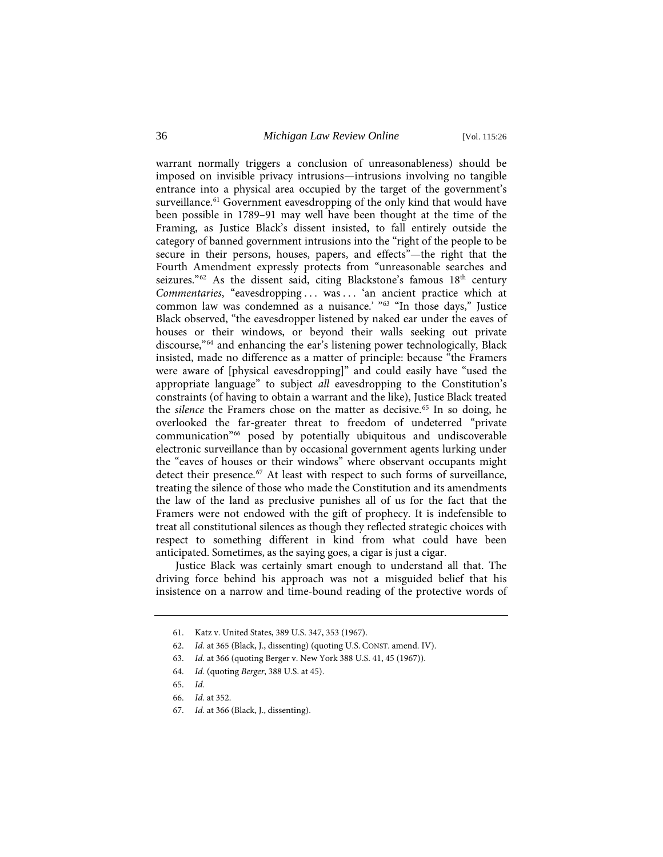warrant normally triggers a conclusion of unreasonableness) should be imposed on invisible privacy intrusions—intrusions involving no tangible entrance into a physical area occupied by the target of the government's surveillance.<sup>[61](#page-11-0)</sup> Government eavesdropping of the only kind that would have been possible in 1789–91 may well have been thought at the time of the Framing, as Justice Black's dissent insisted, to fall entirely outside the category of banned government intrusions into the "right of the people to be secure in their persons, houses, papers, and effects"—the right that the Fourth Amendment expressly protects from "unreasonable searches and seizures."<sup>62</sup> As the dissent said, citing Blackstone's famous 18<sup>th</sup> century *Commentaries*, "eavesdropping . . . was . . . 'an ancient practice which at common law was condemned as a nuisance.' "[63](#page-11-2) "In those days," Justice Black observed, "the eavesdropper listened by naked ear under the eaves of houses or their windows, or beyond their walls seeking out private discourse,"[64](#page-11-3) and enhancing the ear's listening power technologically, Black insisted, made no difference as a matter of principle: because "the Framers were aware of [physical eavesdropping]" and could easily have "used the appropriate language" to subject *all* eavesdropping to the Constitution's constraints (of having to obtain a warrant and the like), Justice Black treated the *silence* the Framers chose on the matter as decisive.<sup>[65](#page-11-4)</sup> In so doing, he overlooked the far-greater threat to freedom of undeterred "private communication"[66](#page-11-5) posed by potentially ubiquitous and undiscoverable electronic surveillance than by occasional government agents lurking under the "eaves of houses or their windows" where observant occupants might detect their presence.<sup>[67](#page-11-6)</sup> At least with respect to such forms of surveillance, treating the silence of those who made the Constitution and its amendments the law of the land as preclusive punishes all of us for the fact that the Framers were not endowed with the gift of prophecy. It is indefensible to treat all constitutional silences as though they reflected strategic choices with respect to something different in kind from what could have been anticipated. Sometimes, as the saying goes, a cigar is just a cigar.

<span id="page-11-0"></span>Justice Black was certainly smart enough to understand all that. The driving force behind his approach was not a misguided belief that his insistence on a narrow and time-bound reading of the protective words of

<sup>61.</sup> Katz v. United States, 389 U.S. 347, 353 (1967).

<span id="page-11-1"></span><sup>62.</sup> *Id.* at 365 (Black, J., dissenting) (quoting U.S. CONST. amend. IV).

<sup>63.</sup> *Id.* at 366 (quoting Berger v. New York 388 U.S. 41, 45 (1967)).

<span id="page-11-4"></span><span id="page-11-3"></span><span id="page-11-2"></span><sup>64.</sup> *Id.* (quoting *Berger*, 388 U.S. at 45).

<sup>65.</sup> *Id.*

<span id="page-11-5"></span><sup>66.</sup> *Id.* at 352.

<span id="page-11-6"></span><sup>67.</sup> *Id.* at 366 (Black, J., dissenting).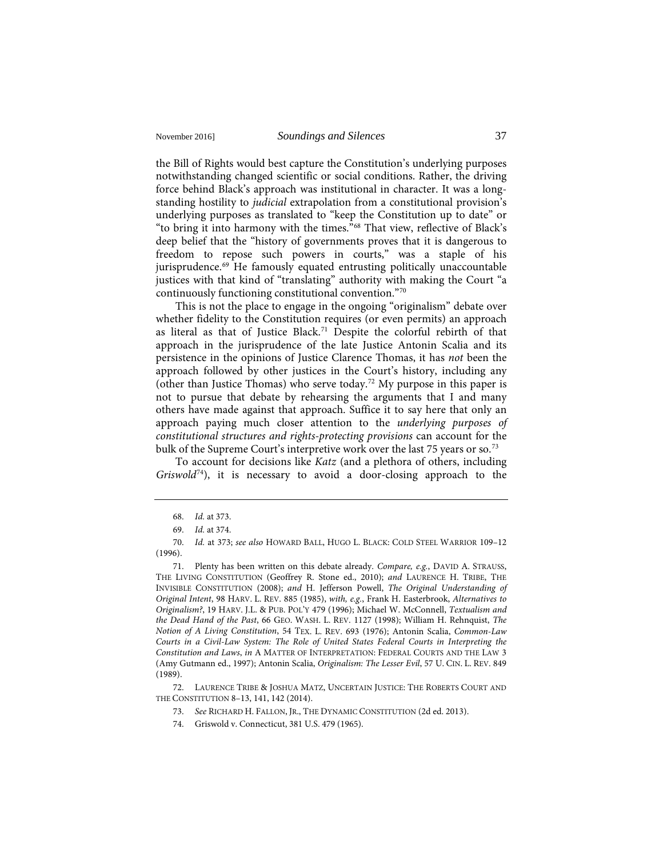the Bill of Rights would best capture the Constitution's underlying purposes notwithstanding changed scientific or social conditions. Rather, the driving force behind Black's approach was institutional in character. It was a longstanding hostility to *judicial* extrapolation from a constitutional provision's underlying purposes as translated to "keep the Constitution up to date" or "to bring it into harmony with the times."[68](#page-12-0) That view, reflective of Black's deep belief that the "history of governments proves that it is dangerous to freedom to repose such powers in courts," was a staple of his jurisprudence.<sup>[69](#page-12-1)</sup> He famously equated entrusting politically unaccountable justices with that kind of "translating" authority with making the Court "a continuously functioning constitutional convention."[70](#page-12-2)

This is not the place to engage in the ongoing "originalism" debate over whether fidelity to the Constitution requires (or even permits) an approach as literal as that of Justice Black.<sup>[71](#page-12-3)</sup> Despite the colorful rebirth of that approach in the jurisprudence of the late Justice Antonin Scalia and its persistence in the opinions of Justice Clarence Thomas, it has *not* been the approach followed by other justices in the Court's history, including any (other than Justice Thomas) who serve today.[72](#page-12-4) My purpose in this paper is not to pursue that debate by rehearsing the arguments that I and many others have made against that approach. Suffice it to say here that only an approach paying much closer attention to the *underlying purposes of constitutional structures and rights-protecting provisions* can account for the bulk of the Supreme Court's interpretive work over the last 75 years or so.<sup>[73](#page-12-5)</sup>

To account for decisions like *Katz* (and a plethora of others, including *Griswold*[74](#page-12-6)), it is necessary to avoid a door-closing approach to the

<span id="page-12-6"></span><span id="page-12-5"></span><span id="page-12-4"></span>72. LAURENCE TRIBE & JOSHUA MATZ, UNCERTAIN JUSTICE: THE ROBERTS COURT AND THE CONSTITUTION 8–13, 141, 142 (2014).

<sup>68.</sup> *Id.* at 373.

<sup>69.</sup> *Id.* at 374.

<span id="page-12-2"></span><span id="page-12-1"></span><span id="page-12-0"></span><sup>70.</sup> *Id.* at 373; *see also* HOWARD BALL, HUGO L. BLACK: COLD STEEL WARRIOR 109–12 (1996).

<span id="page-12-3"></span><sup>71.</sup> Plenty has been written on this debate already. *Compare, e.g.*, DAVID A. STRAUSS, THE LIVING CONSTITUTION (Geoffrey R. Stone ed., 2010); *and* LAURENCE H. TRIBE, THE INVISIBLE CONSTITUTION (2008); *and* H. Jefferson Powell, *The Original Understanding of Original Intent*, 98 HARV. L. REV. 885 (1985), *with, e.g.*, Frank H. Easterbrook, *Alternatives to Originalism?*, 19 HARV. J.L. & PUB. POL'Y 479 (1996); Michael W. McConnell, *Textualism and the Dead Hand of the Past*, 66 GEO. WASH. L. REV. 1127 (1998); William H. Rehnquist, *The Notion of A Living Constitution*, 54 TEX. L. REV. 693 (1976); Antonin Scalia, *Common-Law Courts in a Civil-Law System: The Role of United States Federal Courts in Interpreting the Constitution and Laws*, *in* A MATTER OF INTERPRETATION: FEDERAL COURTS AND THE LAW 3 (Amy Gutmann ed., 1997); Antonin Scalia, *Originalism: The Lesser Evil*, 57 U. CIN. L. REV. 849 (1989).

<sup>73.</sup> *See* RICHARD H. FALLON, JR., THE DYNAMIC CONSTITUTION (2d ed. 2013).

<sup>74.</sup> Griswold v. Connecticut, 381 U.S. 479 (1965).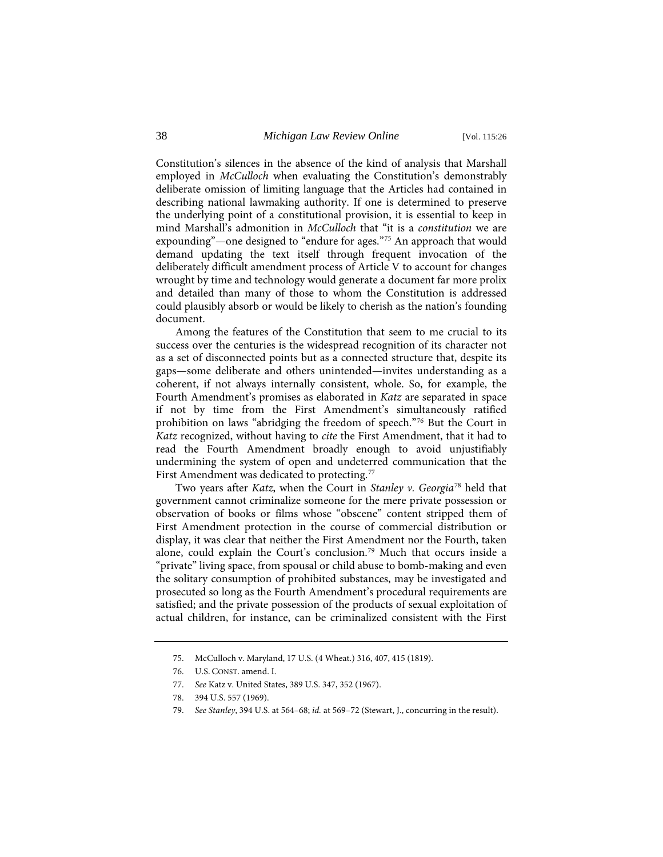Constitution's silences in the absence of the kind of analysis that Marshall employed in *McCulloch* when evaluating the Constitution's demonstrably deliberate omission of limiting language that the Articles had contained in describing national lawmaking authority. If one is determined to preserve the underlying point of a constitutional provision, it is essential to keep in mind Marshall's admonition in *McCulloch* that "it is a *constitution* we are expounding"—one designed to "endure for ages."[75](#page-13-0) An approach that would demand updating the text itself through frequent invocation of the deliberately difficult amendment process of Article V to account for changes wrought by time and technology would generate a document far more prolix and detailed than many of those to whom the Constitution is addressed could plausibly absorb or would be likely to cherish as the nation's founding document.

Among the features of the Constitution that seem to me crucial to its success over the centuries is the widespread recognition of its character not as a set of disconnected points but as a connected structure that, despite its gaps—some deliberate and others unintended—invites understanding as a coherent, if not always internally consistent, whole. So, for example, the Fourth Amendment's promises as elaborated in *Katz* are separated in space if not by time from the First Amendment's simultaneously ratified prohibition on laws "abridging the freedom of speech."[76](#page-13-1) But the Court in *Katz* recognized, without having to *cite* the First Amendment, that it had to read the Fourth Amendment broadly enough to avoid unjustifiably undermining the system of open and undeterred communication that the First Amendment was dedicated to protecting.<sup>[77](#page-13-2)</sup>

Two years after *Katz*, when the Court in *Stanley v. Georgia*[78](#page-13-3) held that government cannot criminalize someone for the mere private possession or observation of books or films whose "obscene" content stripped them of First Amendment protection in the course of commercial distribution or display, it was clear that neither the First Amendment nor the Fourth, taken alone, could explain the Court's conclusion.<sup>[79](#page-13-4)</sup> Much that occurs inside a "private" living space, from spousal or child abuse to bomb-making and even the solitary consumption of prohibited substances, may be investigated and prosecuted so long as the Fourth Amendment's procedural requirements are satisfied; and the private possession of the products of sexual exploitation of actual children, for instance, can be criminalized consistent with the First

<span id="page-13-0"></span><sup>75.</sup> McCulloch v. Maryland, 17 U.S. (4 Wheat.) 316, 407, 415 (1819).

<span id="page-13-1"></span><sup>76.</sup> U.S. CONST. amend. I.

<sup>77.</sup> *See* Katz v. United States, 389 U.S. 347, 352 (1967).

<span id="page-13-4"></span><span id="page-13-3"></span><span id="page-13-2"></span><sup>78. 394</sup> U.S. 557 (1969).

<sup>79.</sup> *See Stanley*, 394 U.S. at 564–68; *id.* at 569–72 (Stewart, J., concurring in the result).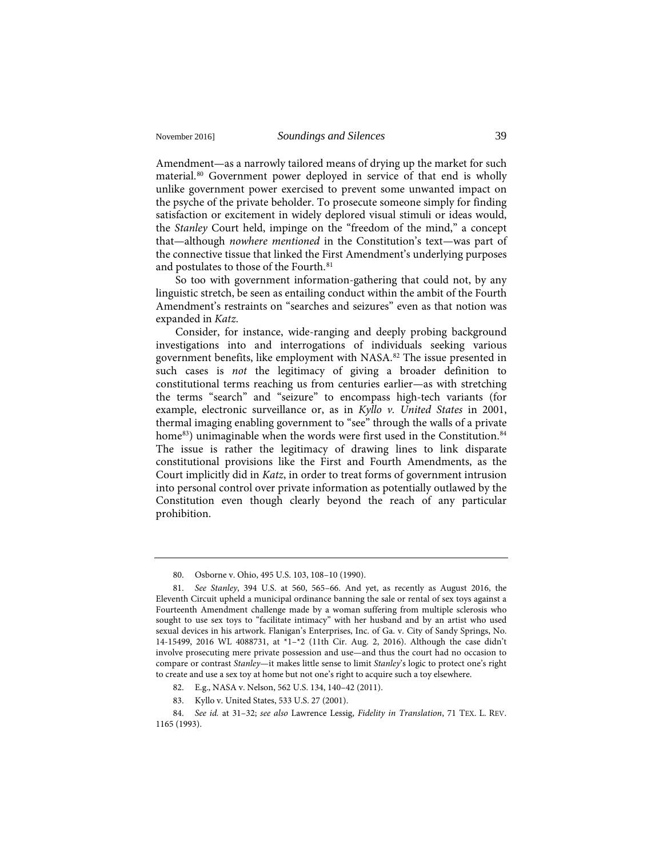Amendment—as a narrowly tailored means of drying up the market for such material.[80](#page-14-0) Government power deployed in service of that end is wholly unlike government power exercised to prevent some unwanted impact on the psyche of the private beholder. To prosecute someone simply for finding satisfaction or excitement in widely deplored visual stimuli or ideas would, the *Stanley* Court held, impinge on the "freedom of the mind," a concept that—although *nowhere mentioned* in the Constitution's text—was part of the connective tissue that linked the First Amendment's underlying purposes and postulates to those of the Fourth.<sup>[81](#page-14-1)</sup>

So too with government information-gathering that could not, by any linguistic stretch, be seen as entailing conduct within the ambit of the Fourth Amendment's restraints on "searches and seizures" even as that notion was expanded in *Katz*.

Consider, for instance, wide-ranging and deeply probing background investigations into and interrogations of individuals seeking various government benefits, like employment with NASA.[82](#page-14-2) The issue presented in such cases is *not* the legitimacy of giving a broader definition to constitutional terms reaching us from centuries earlier—as with stretching the terms "search" and "seizure" to encompass high-tech variants (for example, electronic surveillance or, as in *Kyllo v. United States* in 2001, thermal imaging enabling government to "see" through the walls of a private home<sup>83</sup>) unimaginable when the words were first used in the Constitution.<sup>[84](#page-14-4)</sup> The issue is rather the legitimacy of drawing lines to link disparate constitutional provisions like the First and Fourth Amendments, as the Court implicitly did in *Katz*, in order to treat forms of government intrusion into personal control over private information as potentially outlawed by the Constitution even though clearly beyond the reach of any particular prohibition.

<sup>80.</sup> Osborne v. Ohio, 495 U.S. 103, 108–10 (1990).

<span id="page-14-1"></span><span id="page-14-0"></span><sup>81.</sup> *See Stanley*, 394 U.S. at 560, 565–66. And yet, as recently as August 2016, the Eleventh Circuit upheld a municipal ordinance banning the sale or rental of sex toys against a Fourteenth Amendment challenge made by a woman suffering from multiple sclerosis who sought to use sex toys to "facilitate intimacy" with her husband and by an artist who used sexual devices in his artwork. Flanigan's Enterprises, Inc. of Ga. v. City of Sandy Springs, No. 14-15499, 2016 WL 4088731, at \*1–\*2 (11th Cir. Aug. 2, 2016). Although the case didn't involve prosecuting mere private possession and use—and thus the court had no occasion to compare or contrast *Stanley*—it makes little sense to limit *Stanley*'s logic to protect one's right to create and use a sex toy at home but not one's right to acquire such a toy elsewhere.

<sup>82.</sup> E.g., NASA v. Nelson, 562 U.S. 134, 140–42 (2011).

<sup>83.</sup> Kyllo v. United States, 533 U.S. 27 (2001).

<span id="page-14-4"></span><span id="page-14-3"></span><span id="page-14-2"></span><sup>84.</sup> *See id.* at 31–32; *see also* Lawrence Lessig, *Fidelity in Translation*, 71 TEX. L. REV. 1165 (1993).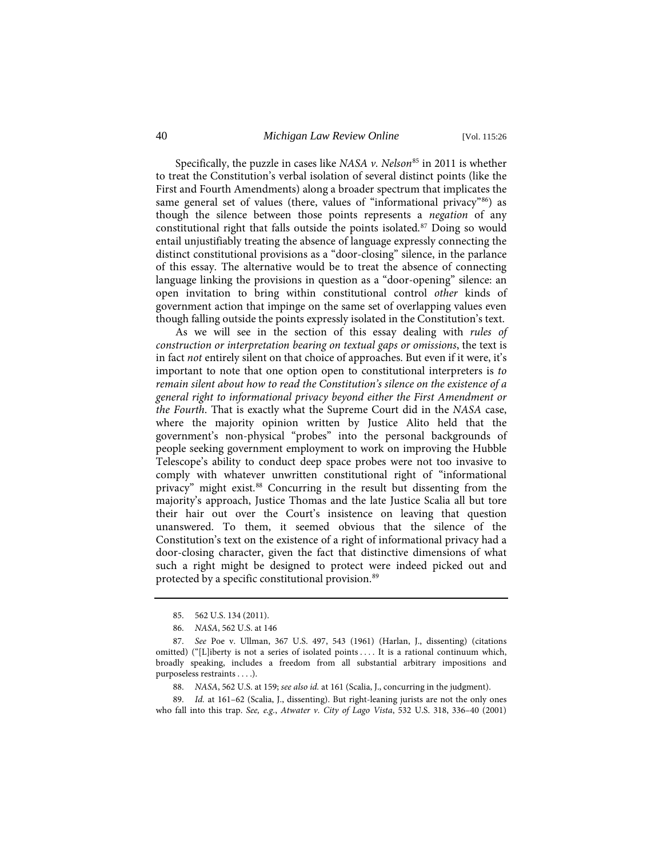Specifically, the puzzle in cases like *NASA v. Nelson*<sup>[85](#page-15-0)</sup> in 2011 is whether to treat the Constitution's verbal isolation of several distinct points (like the First and Fourth Amendments) along a broader spectrum that implicates the same general set of values (there, values of "informational privacy"<sup>[86](#page-15-1)</sup>) as though the silence between those points represents a *negation* of any constitutional right that falls outside the points isolated.<sup>[87](#page-15-2)</sup> Doing so would entail unjustifiably treating the absence of language expressly connecting the distinct constitutional provisions as a "door-closing" silence, in the parlance of this essay. The alternative would be to treat the absence of connecting language linking the provisions in question as a "door-opening" silence: an open invitation to bring within constitutional control *other* kinds of government action that impinge on the same set of overlapping values even though falling outside the points expressly isolated in the Constitution's text.

As we will see in the section of this essay dealing with *rules of construction or interpretation bearing on textual gaps or omissions*, the text is in fact *not* entirely silent on that choice of approaches. But even if it were, it's important to note that one option open to constitutional interpreters is *to remain silent about how to read the Constitution's silence on the existence of a general right to informational privacy beyond either the First Amendment or the Fourth*. That is exactly what the Supreme Court did in the *NASA* case, where the majority opinion written by Justice Alito held that the government's non-physical "probes" into the personal backgrounds of people seeking government employment to work on improving the Hubble Telescope's ability to conduct deep space probes were not too invasive to comply with whatever unwritten constitutional right of "informational privacy" might exist.<sup>[88](#page-15-3)</sup> Concurring in the result but dissenting from the majority's approach, Justice Thomas and the late Justice Scalia all but tore their hair out over the Court's insistence on leaving that question unanswered. To them, it seemed obvious that the silence of the Constitution's text on the existence of a right of informational privacy had a door-closing character, given the fact that distinctive dimensions of what such a right might be designed to protect were indeed picked out and protected by a specific constitutional provision.[89](#page-15-4)

<sup>85. 562</sup> U.S. 134 (2011).

<sup>86.</sup> *NASA*, 562 U.S. at 146

<span id="page-15-2"></span><span id="page-15-1"></span><span id="page-15-0"></span><sup>87.</sup> *See* Poe v. Ullman, 367 U.S. 497, 543 (1961) (Harlan, J., dissenting) (citations omitted) ("[L]iberty is not a series of isolated points . . . It is a rational continuum which, broadly speaking, includes a freedom from all substantial arbitrary impositions and purposeless restraints . . . .).

<sup>88.</sup> *NASA*, 562 U.S. at 159; *see also id.* at 161 (Scalia, J., concurring in the judgment).

<span id="page-15-4"></span><span id="page-15-3"></span><sup>89.</sup> *Id.* at 161–62 (Scalia, J., dissenting). But right-leaning jurists are not the only ones who fall into this trap. *See, e.g.*, *Atwater v. City of Lago Vista*, 532 U.S. 318, 336–40 (2001)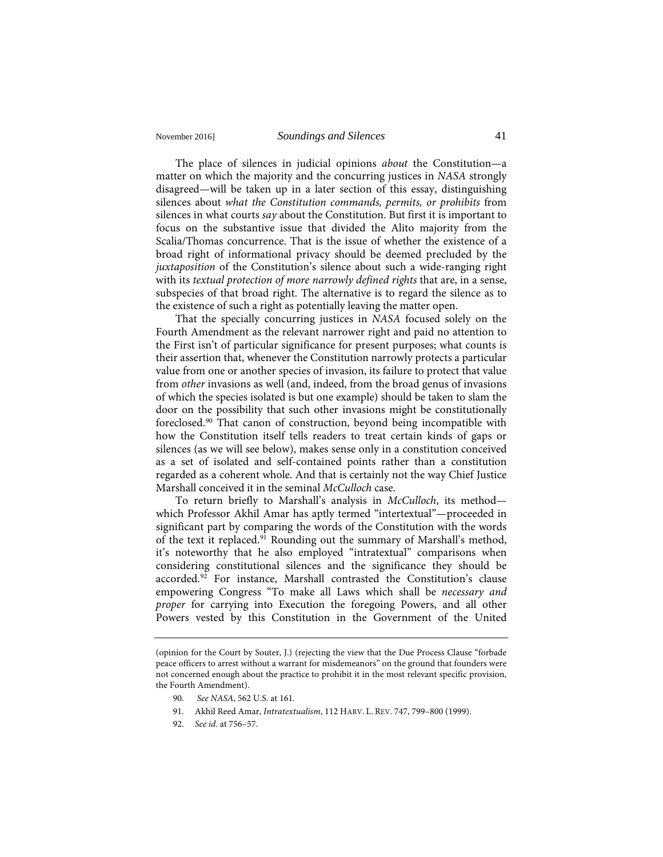## November 2016] *Soundings and Silences* 41

The place of silences in judicial opinions *about* the Constitution—a matter on which the majority and the concurring justices in *NASA* strongly disagreed—will be taken up in a later section of this essay, distinguishing silences about *what the Constitution commands, permits, or prohibits* from silences in what courts *say* about the Constitution. But first it is important to focus on the substantive issue that divided the Alito majority from the Scalia/Thomas concurrence. That is the issue of whether the existence of a broad right of informational privacy should be deemed precluded by the *juxtaposition* of the Constitution's silence about such a wide-ranging right with its *textual protection of more narrowly defined rights* that are, in a sense, subspecies of that broad right. The alternative is to regard the silence as to the existence of such a right as potentially leaving the matter open.

That the specially concurring justices in *NASA* focused solely on the Fourth Amendment as the relevant narrower right and paid no attention to the First isn't of particular significance for present purposes; what counts is their assertion that, whenever the Constitution narrowly protects a particular value from one or another species of invasion, its failure to protect that value from *other* invasions as well (and, indeed, from the broad genus of invasions of which the species isolated is but one example) should be taken to slam the door on the possibility that such other invasions might be constitutionally foreclosed.[90](#page-16-0) That canon of construction, beyond being incompatible with how the Constitution itself tells readers to treat certain kinds of gaps or silences (as we will see below), makes sense only in a constitution conceived as a set of isolated and self-contained points rather than a constitution regarded as a coherent whole. And that is certainly not the way Chief Justice Marshall conceived it in the seminal *McCulloch* case.

To return briefly to Marshall's analysis in *McCulloch*, its method which Professor Akhil Amar has aptly termed "intertextual"—proceeded in significant part by comparing the words of the Constitution with the words of the text it replaced.[91](#page-16-1) Rounding out the summary of Marshall's method, it's noteworthy that he also employed "intratextual" comparisons when considering constitutional silences and the significance they should be accorded.[92](#page-16-2) For instance, Marshall contrasted the Constitution's clause empowering Congress "To make all Laws which shall be *necessary and proper* for carrying into Execution the foregoing Powers, and all other Powers vested by this Constitution in the Government of the United

92. *See id.* at 756–57.

<span id="page-16-2"></span><span id="page-16-1"></span><span id="page-16-0"></span><sup>(</sup>opinion for the Court by Souter, J.) (rejecting the view that the Due Process Clause "forbade peace officers to arrest without a warrant for misdemeanors" on the ground that founders were not concerned enough about the practice to prohibit it in the most relevant specific provision, the Fourth Amendment).

<sup>90.</sup> *See NASA*, 562 U.S. at 161.

<sup>91.</sup> Akhil Reed Amar, *Intratextualism*, 112 HARV. L. REV. 747, 799–800 (1999).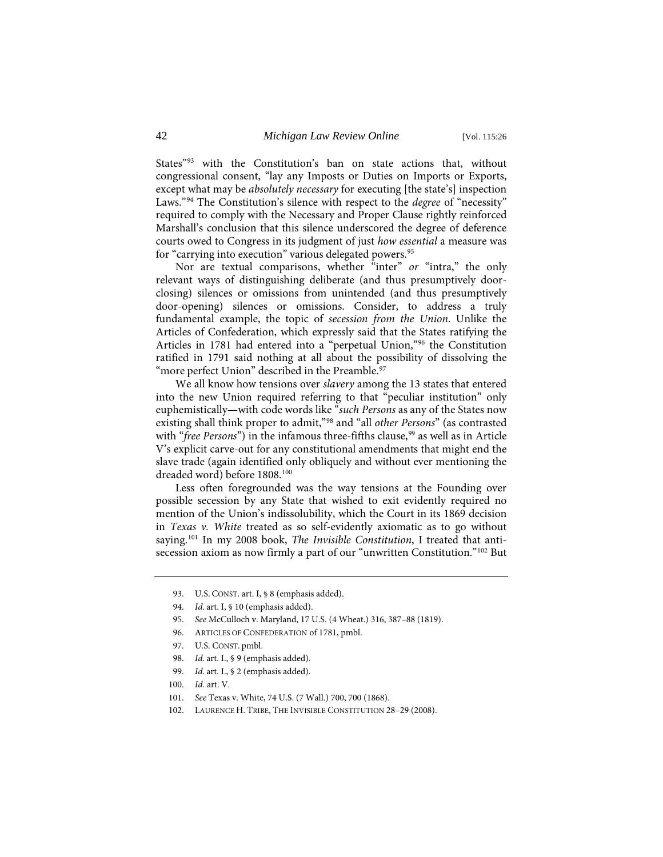States"[93](#page-17-0) with the Constitution's ban on state actions that, without congressional consent, "lay any Imposts or Duties on Imports or Exports, except what may be *absolutely necessary* for executing [the state's] inspection Laws."[94](#page-17-1) The Constitution's silence with respect to the *degree* of "necessity" required to comply with the Necessary and Proper Clause rightly reinforced Marshall's conclusion that this silence underscored the degree of deference courts owed to Congress in its judgment of just *how essential* a measure was for "carrying into execution" various delegated powers.<sup>[95](#page-17-2)</sup>

Nor are textual comparisons, whether "inter" *or* "intra," the only relevant ways of distinguishing deliberate (and thus presumptively doorclosing) silences or omissions from unintended (and thus presumptively door-opening) silences or omissions. Consider, to address a truly fundamental example, the topic of *secession from the Union*. Unlike the Articles of Confederation, which expressly said that the States ratifying the Articles in 1781 had entered into a "perpetual Union,"[96](#page-17-3) the Constitution ratified in 1791 said nothing at all about the possibility of dissolving the "more perfect Union" described in the Preamble.<sup>97</sup>

We all know how tensions over *slavery* among the 13 states that entered into the new Union required referring to that "peculiar institution" only euphemistically—with code words like "*such Persons* as any of the States now existing shall think proper to admit,"[98](#page-17-5) and "all *other Persons*" (as contrasted with "*free Persons*") in the infamous three-fifths clause,<sup>[99](#page-17-6)</sup> as well as in Article V's explicit carve-out for any constitutional amendments that might end the slave trade (again identified only obliquely and without ever mentioning the dreaded word) before 1808.[100](#page-17-7)

Less often foregrounded was the way tensions at the Founding over possible secession by any State that wished to exit evidently required no mention of the Union's indissolubility, which the Court in its 1869 decision in *Texas v. White* treated as so self-evidently axiomatic as to go without saying.[101](#page-17-8) In my 2008 book, *The Invisible Constitution*, I treated that anti-secession axiom as now firmly a part of our "unwritten Constitution."<sup>[102](#page-17-9)</sup> But

<span id="page-17-0"></span><sup>93.</sup> U.S. CONST. art. I, § 8 (emphasis added).

<span id="page-17-1"></span><sup>94.</sup> *Id.* art. I, § 10 (emphasis added).

<span id="page-17-2"></span><sup>95.</sup> *See* McCulloch v. Maryland, 17 U.S. (4 Wheat.) 316, 387–88 (1819).

<sup>96.</sup> ARTICLES OF CONFEDERATION of 1781, pmbl.

<span id="page-17-4"></span><span id="page-17-3"></span><sup>97.</sup> U.S. CONST. pmbl.

<sup>98.</sup> *Id.* art. I., § 9 (emphasis added).

<sup>99.</sup> *Id.* art. I., § 2 (emphasis added).

<span id="page-17-6"></span><span id="page-17-5"></span><sup>100.</sup> *Id.* art. V.

<span id="page-17-8"></span><span id="page-17-7"></span><sup>101.</sup> *See* Texas v. White, 74 U.S. (7 Wall.) 700, 700 (1868).

<span id="page-17-9"></span><sup>102.</sup> LAURENCE H. TRIBE, THE INVISIBLE CONSTITUTION 28–29 (2008).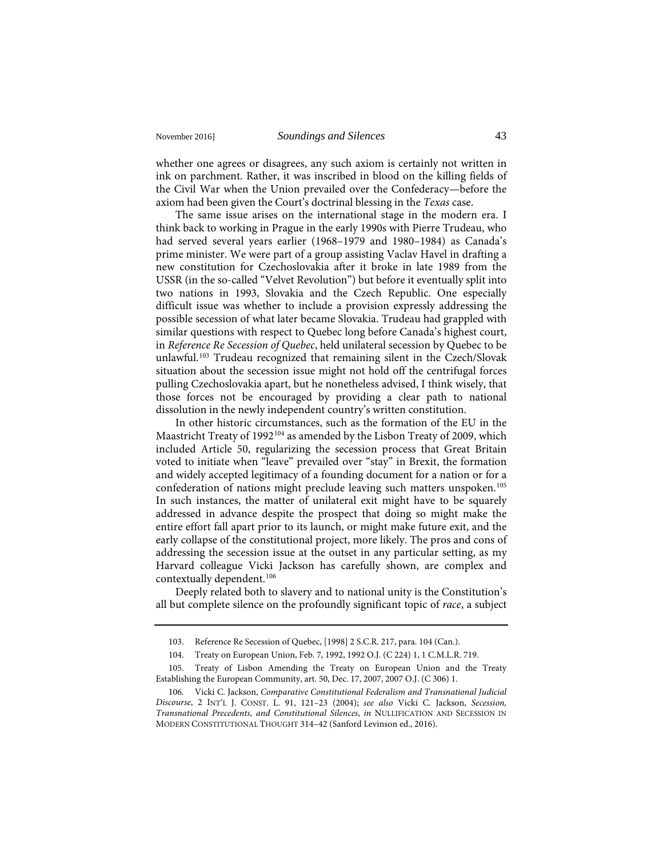whether one agrees or disagrees, any such axiom is certainly not written in ink on parchment. Rather, it was inscribed in blood on the killing fields of the Civil War when the Union prevailed over the Confederacy—before the axiom had been given the Court's doctrinal blessing in the *Texas* case.

The same issue arises on the international stage in the modern era. I think back to working in Prague in the early 1990s with Pierre Trudeau, who had served several years earlier (1968–1979 and 1980–1984) as Canada's prime minister. We were part of a group assisting Vaclav Havel in drafting a new constitution for Czechoslovakia after it broke in late 1989 from the USSR (in the so-called "Velvet Revolution") but before it eventually split into two nations in 1993, Slovakia and the Czech Republic. One especially difficult issue was whether to include a provision expressly addressing the possible secession of what later became Slovakia. Trudeau had grappled with similar questions with respect to Quebec long before Canada's highest court, in *Reference Re Secession of Quebec*, held unilateral secession by Quebec to be unlawful.[103](#page-18-0) Trudeau recognized that remaining silent in the Czech/Slovak situation about the secession issue might not hold off the centrifugal forces pulling Czechoslovakia apart, but he nonetheless advised, I think wisely, that those forces not be encouraged by providing a clear path to national dissolution in the newly independent country's written constitution.

In other historic circumstances, such as the formation of the EU in the Maastricht Treaty of 1992<sup>[104](#page-18-1)</sup> as amended by the Lisbon Treaty of 2009, which included Article 50, regularizing the secession process that Great Britain voted to initiate when "leave" prevailed over "stay" in Brexit, the formation and widely accepted legitimacy of a founding document for a nation or for a confederation of nations might preclude leaving such matters unspoken.<sup>[105](#page-18-2)</sup> In such instances, the matter of unilateral exit might have to be squarely addressed in advance despite the prospect that doing so might make the entire effort fall apart prior to its launch, or might make future exit, and the early collapse of the constitutional project, more likely. The pros and cons of addressing the secession issue at the outset in any particular setting, as my Harvard colleague Vicki Jackson has carefully shown, are complex and contextually dependent.[106](#page-18-3)

Deeply related both to slavery and to national unity is the Constitution's all but complete silence on the profoundly significant topic of *race*, a subject

<sup>103.</sup> Reference Re Secession of Quebec, [1998] 2 S.C.R. 217, para. 104 (Can.).

<sup>104.</sup> Treaty on European Union, Feb. 7, 1992, 1992 O.J. (C 224) 1, 1 C.M.L.R. 719.

<span id="page-18-2"></span><span id="page-18-1"></span><span id="page-18-0"></span><sup>105.</sup> Treaty of Lisbon Amending the Treaty on European Union and the Treaty Establishing the European Community, art. 50, Dec. 17, 2007, 2007 O.J. (C 306) 1.

<span id="page-18-3"></span><sup>106.</sup> Vicki C. Jackson, *Comparative Constitutional Federalism and Transnational Judicial Discourse*, 2 INT'L J. CONST. L. 91, 121–23 (2004); *see also* Vicki C. Jackson, *Secession, Transnational Precedents, and Constitutional Silences*, *in* NULLIFICATION AND SECESSION IN MODERN CONSTITUTIONAL THOUGHT 314–42 (Sanford Levinson ed., 2016).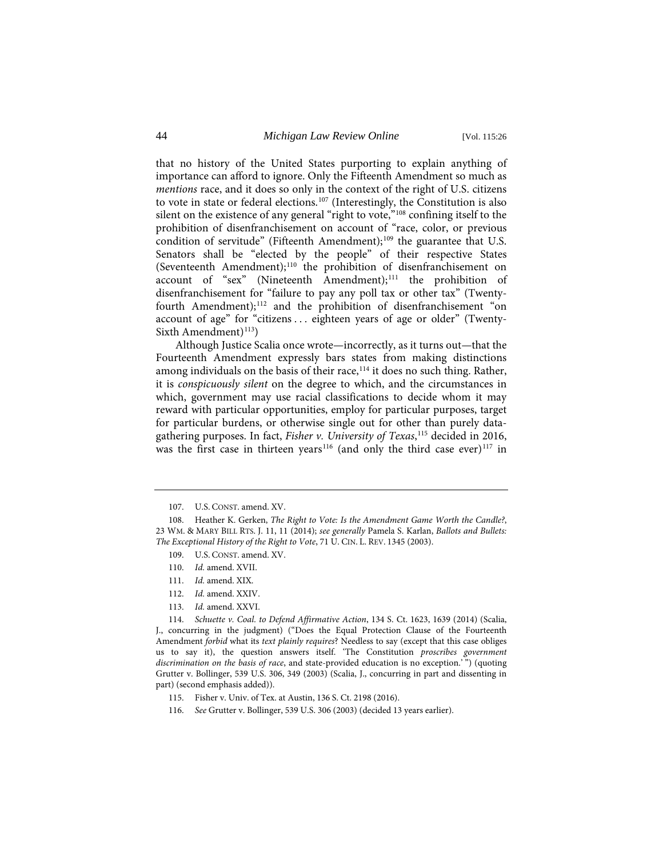that no history of the United States purporting to explain anything of importance can afford to ignore. Only the Fifteenth Amendment so much as *mentions* race, and it does so only in the context of the right of U.S. citizens to vote in state or federal elections.<sup>[107](#page-19-0)</sup> (Interestingly, the Constitution is also silent on the existence of any general "right to vote,"<sup>[108](#page-19-1)</sup> confining itself to the prohibition of disenfranchisement on account of "race, color, or previous condition of servitude" (Fifteenth Amendment);<sup>[109](#page-19-2)</sup> the guarantee that U.S. Senators shall be "elected by the people" of their respective States (Seventeenth Amendment);[110](#page-19-3) the prohibition of disenfranchisement on account of "sex" (Nineteenth Amendment);<sup>[111](#page-19-4)</sup> the prohibition of disenfranchisement for "failure to pay any poll tax or other tax" (Twenty-fourth Amendment);<sup>[112](#page-19-5)</sup> and the prohibition of disenfranchisement "on account of age" for "citizens . . . eighteen years of age or older" (Twenty-Sixth Amendment $113$ 

Although Justice Scalia once wrote—incorrectly, as it turns out—that the Fourteenth Amendment expressly bars states from making distinctions among individuals on the basis of their race,<sup>[114](#page-19-7)</sup> it does no such thing. Rather, it is *conspicuously silent* on the degree to which, and the circumstances in which, government may use racial classifications to decide whom it may reward with particular opportunities, employ for particular purposes, target for particular burdens, or otherwise single out for other than purely datagathering purposes. In fact, *Fisher v. University of Texas*, [115](#page-19-8) decided in 2016, was the first case in thirteen years<sup>[116](#page-19-9)</sup> (and only the third case ever)<sup>[117](#page-19-10)</sup> in

- 109. U.S. CONST. amend. XV.
- 110. *Id.* amend. XVII.
- 111. *Id.* amend. XIX.
- 112. *Id.* amend. XXIV.
- 113. *Id.* amend. XXVI.

<span id="page-19-7"></span><span id="page-19-6"></span><span id="page-19-5"></span><span id="page-19-4"></span>114. *Schuette v. Coal. to Defend Affirmative Action*, 134 S. Ct. 1623, 1639 (2014) (Scalia, J., concurring in the judgment) ("Does the Equal Protection Clause of the Fourteenth Amendment *forbid* what its *text plainly requires*? Needless to say (except that this case obliges us to say it), the question answers itself. 'The Constitution *proscribes government discrimination on the basis of race*, and state-provided education is no exception.' ") (quoting Grutter v. Bollinger, 539 U.S. 306, 349 (2003) (Scalia, J., concurring in part and dissenting in part) (second emphasis added)).

- <span id="page-19-8"></span>115. Fisher v. Univ. of Tex. at Austin, 136 S. Ct. 2198 (2016).
- <span id="page-19-9"></span>116. *See* Grutter v. Bollinger, 539 U.S. 306 (2003) (decided 13 years earlier).

<sup>107.</sup> U.S. CONST. amend. XV.

<span id="page-19-10"></span><span id="page-19-3"></span><span id="page-19-2"></span><span id="page-19-1"></span><span id="page-19-0"></span><sup>108.</sup> Heather K. Gerken, *The Right to Vote: Is the Amendment Game Worth the Candle?*, 23 WM. & MARY BILL RTS. J. 11, 11 (2014); *see generally* Pamela S. Karlan, *Ballots and Bullets: The Exceptional History of the Right to Vote*, 71 U. CIN. L. REV. 1345 (2003).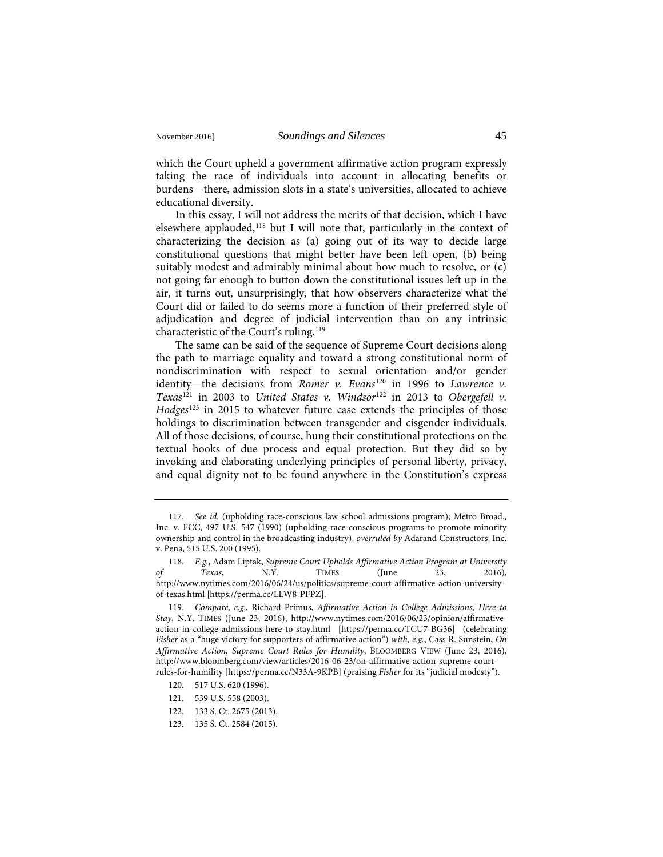which the Court upheld a government affirmative action program expressly taking the race of individuals into account in allocating benefits or burdens—there, admission slots in a state's universities, allocated to achieve educational diversity.

In this essay, I will not address the merits of that decision, which I have elsewhere applauded,<sup>[118](#page-20-0)</sup> but I will note that, particularly in the context of characterizing the decision as (a) going out of its way to decide large constitutional questions that might better have been left open, (b) being suitably modest and admirably minimal about how much to resolve, or (c) not going far enough to button down the constitutional issues left up in the air, it turns out, unsurprisingly, that how observers characterize what the Court did or failed to do seems more a function of their preferred style of adjudication and degree of judicial intervention than on any intrinsic characteristic of the Court's ruling.<sup>[119](#page-20-1)</sup>

The same can be said of the sequence of Supreme Court decisions along the path to marriage equality and toward a strong constitutional norm of nondiscrimination with respect to sexual orientation and/or gender identity—the decisions from *Romer v. Evans*<sup>[120](#page-20-2)</sup> in 1996 to *Lawrence v. Texas*[121](#page-20-3) in 2003 to *United States v. Windsor*[122](#page-20-4) in 2013 to *Obergefell v. Hodges*[123](#page-20-5) in 2015 to whatever future case extends the principles of those holdings to discrimination between transgender and cisgender individuals. All of those decisions, of course, hung their constitutional protections on the textual hooks of due process and equal protection. But they did so by invoking and elaborating underlying principles of personal liberty, privacy, and equal dignity not to be found anywhere in the Constitution's express

<sup>117.</sup> *See id.* (upholding race-conscious law school admissions program); Metro Broad., Inc. v. FCC, 497 U.S. 547 (1990) (upholding race-conscious programs to promote minority ownership and control in the broadcasting industry), *overruled by* Adarand Constructors, Inc. v. Pena, 515 U.S. 200 (1995).

<span id="page-20-0"></span><sup>118.</sup> *E.g.*, Adam Liptak, *Supreme Court Upholds Affirmative Action Program at University of Texas*, N.Y. TIMES (June 23, 2016), http://www.nytimes.com/2016/06/24/us/politics/supreme-court-affirmative-action-universityof-texas.html [https://perma.cc/LLW8-PFPZ].

<span id="page-20-1"></span><sup>119.</sup> *Compare, e.g.*, Richard Primus, *Affirmative Action in College Admissions, Here to Stay*, N.Y. TIMES (June 23, 2016), http://www.nytimes.com/2016/06/23/opinion/affirmativeaction-in-college-admissions-here-to-stay.html [https://perma.cc/TCU7-BG36] (celebrating *Fisher* as a "huge victory for supporters of affirmative action") *with, e.g.*, Cass R. Sunstein, *On Affirmative Action, Supreme Court Rules for Humility*, BLOOMBERG VIEW (June 23, 2016), http://www.bloomberg.com/view/articles/2016-06-23/on-affirmative-action-supreme-courtrules-for-humility [https://perma.cc/N33A-9KPB] (praising *Fisher* for its "judicial modesty").

<span id="page-20-2"></span><sup>120. 517</sup> U.S. 620 (1996).

<sup>121. 539</sup> U.S. 558 (2003).

<span id="page-20-4"></span><span id="page-20-3"></span><sup>122. 133</sup> S. Ct. 2675 (2013).

<span id="page-20-5"></span><sup>123. 135</sup> S. Ct. 2584 (2015).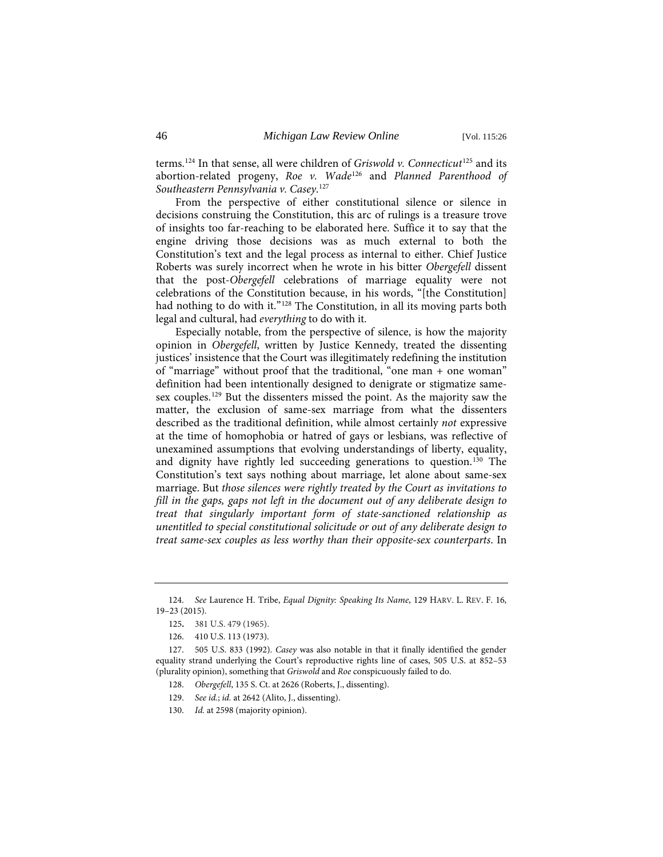terms.[124](#page-21-0) In that sense, all were children of *Griswold v. Connecticut*[125](#page-21-1) and its abortion-related progeny, *Roe v. Wade*[126](#page-21-2) and *Planned Parenthood of Southeastern Pennsylvania v. Casey*. [127](#page-21-3)

From the perspective of either constitutional silence or silence in decisions construing the Constitution, this arc of rulings is a treasure trove of insights too far-reaching to be elaborated here. Suffice it to say that the engine driving those decisions was as much external to both the Constitution's text and the legal process as internal to either. Chief Justice Roberts was surely incorrect when he wrote in his bitter *Obergefell* dissent that the post-*Obergefell* celebrations of marriage equality were not celebrations of the Constitution because, in his words, "[the Constitution] had nothing to do with it."<sup>[128](#page-21-4)</sup> The Constitution, in all its moving parts both legal and cultural, had *everything* to do with it.

Especially notable, from the perspective of silence, is how the majority opinion in *Obergefell*, written by Justice Kennedy, treated the dissenting justices' insistence that the Court was illegitimately redefining the institution of "marriage" without proof that the traditional, "one man + one woman" definition had been intentionally designed to denigrate or stigmatize samesex couples.[129](#page-21-5) But the dissenters missed the point. As the majority saw the matter, the exclusion of same-sex marriage from what the dissenters described as the traditional definition, while almost certainly *not* expressive at the time of homophobia or hatred of gays or lesbians, was reflective of unexamined assumptions that evolving understandings of liberty, equality, and dignity have rightly led succeeding generations to question.[130](#page-21-6) The Constitution's text says nothing about marriage, let alone about same-sex marriage. But *those silences were rightly treated by the Court as invitations to*  fill in the gaps, gaps not left in the document out of any deliberate design to *treat that singularly important form of state-sanctioned relationship as unentitled to special constitutional solicitude or out of any deliberate design to treat same-sex couples as less worthy than their opposite-sex counterparts*. In

<span id="page-21-0"></span><sup>124.</sup> *See* Laurence H. Tribe, *Equal Dignity: Speaking Its Name*, 129 HARV. L. REV. F. 16, 19–23 (2015).

<sup>125</sup>**.** 381 U.S. 479 (1965).

<sup>126. 410</sup> U.S. 113 (1973).

<span id="page-21-6"></span><span id="page-21-5"></span><span id="page-21-4"></span><span id="page-21-3"></span><span id="page-21-2"></span><span id="page-21-1"></span><sup>127. 505</sup> U.S. 833 (1992). *Casey* was also notable in that it finally identified the gender equality strand underlying the Court's reproductive rights line of cases, 505 U.S. at 852–53 (plurality opinion), something that *Griswold* and *Roe* conspicuously failed to do.

<sup>128.</sup> *Obergefell*, 135 S. Ct. at 2626 (Roberts, J., dissenting).

<sup>129.</sup> *See id.*; *id.* at 2642 (Alito, J., dissenting).

<sup>130.</sup> *Id.* at 2598 (majority opinion).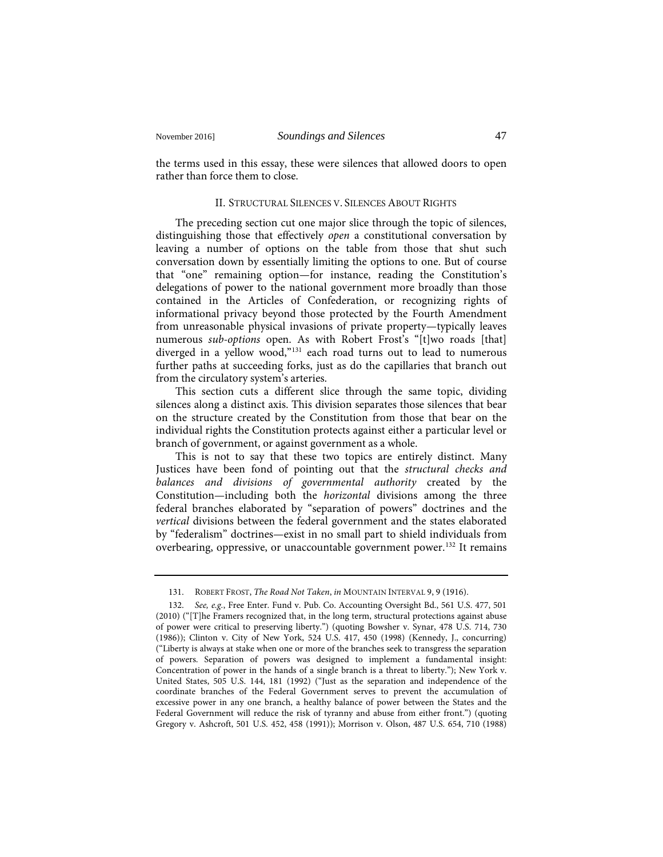the terms used in this essay, these were silences that allowed doors to open rather than force them to close.

# II. STRUCTURAL SILENCES V. SILENCES ABOUT RIGHTS

The preceding section cut one major slice through the topic of silences, distinguishing those that effectively *open* a constitutional conversation by leaving a number of options on the table from those that shut such conversation down by essentially limiting the options to one. But of course that "one" remaining option—for instance, reading the Constitution's delegations of power to the national government more broadly than those contained in the Articles of Confederation, or recognizing rights of informational privacy beyond those protected by the Fourth Amendment from unreasonable physical invasions of private property—typically leaves numerous *sub-options* open. As with Robert Frost's "[t]wo roads [that] diverged in a yellow wood,"<sup>[131](#page-22-0)</sup> each road turns out to lead to numerous further paths at succeeding forks, just as do the capillaries that branch out from the circulatory system's arteries.

This section cuts a different slice through the same topic, dividing silences along a distinct axis. This division separates those silences that bear on the structure created by the Constitution from those that bear on the individual rights the Constitution protects against either a particular level or branch of government, or against government as a whole.

This is not to say that these two topics are entirely distinct. Many Justices have been fond of pointing out that the *structural checks and balances and divisions of governmental authority* created by the Constitution—including both the *horizontal* divisions among the three federal branches elaborated by "separation of powers" doctrines and the vertical divisions between the federal government and the states elaborated by "federalism" doctrines—exist in no small part to shield individuals from overbearing, oppressive, or unaccountable government power.<sup>132</sup> It remains

<sup>131.</sup> ROBERT FROST, *The Road Not Taken*, *in* MOUNTAIN INTERVAL 9, 9 (1916).

<span id="page-22-1"></span><span id="page-22-0"></span><sup>132.</sup> *See, e.g.*, Free Enter. Fund v. Pub. Co. Accounting Oversight Bd., 561 U.S. 477, 501 (2010) ("[T]he Framers recognized that, in the long term, structural protections against abuse of power were critical to preserving liberty.") (quoting Bowsher v. Synar, 478 U.S. 714, 730 (1986)); Clinton v. City of New York, 524 U.S. 417, 450 (1998) (Kennedy, J., concurring) ("Liberty is always at stake when one or more of the branches seek to transgress the separation of powers. Separation of powers was designed to implement a fundamental insight: Concentration of power in the hands of a single branch is a threat to liberty."); New York v. United States, 505 U.S. 144, 181 (1992) ("Just as the separation and independence of the coordinate branches of the Federal Government serves to prevent the accumulation of excessive power in any one branch, a healthy balance of power between the States and the Federal Government will reduce the risk of tyranny and abuse from either front.") (quoting Gregory v. Ashcroft, 501 U.S. 452, 458 (1991)); Morrison v. Olson, 487 U.S. 654, 710 (1988)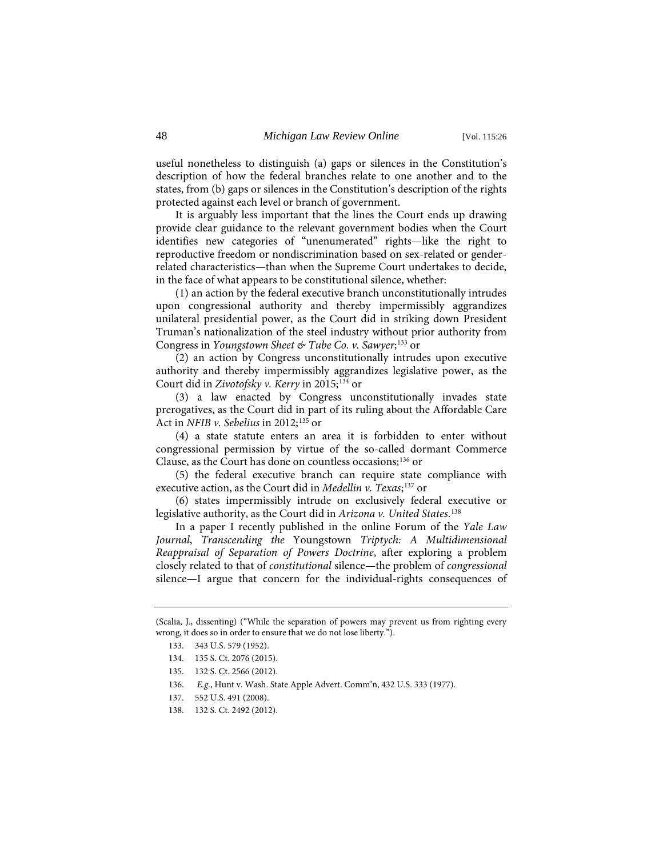useful nonetheless to distinguish (a) gaps or silences in the Constitution's description of how the federal branches relate to one another and to the states, from (b) gaps or silences in the Constitution's description of the rights protected against each level or branch of government.

It is arguably less important that the lines the Court ends up drawing provide clear guidance to the relevant government bodies when the Court identifies new categories of "unenumerated" rights—like the right to reproductive freedom or nondiscrimination based on sex-related or genderrelated characteristics—than when the Supreme Court undertakes to decide, in the face of what appears to be constitutional silence, whether:

(1) an action by the federal executive branch unconstitutionally intrudes upon congressional authority and thereby impermissibly aggrandizes unilateral presidential power, as the Court did in striking down President Truman's nationalization of the steel industry without prior authority from Congress in *Youngstown Sheet & Tube Co. v. Sawyer*; [133](#page-23-0) or

(2) an action by Congress unconstitutionally intrudes upon executive authority and thereby impermissibly aggrandizes legislative power, as the Court did in *Zivotofsky v. Kerry* in 2015; [134](#page-23-1) or

(3) a law enacted by Congress unconstitutionally invades state prerogatives, as the Court did in part of its ruling about the Affordable Care Act in *NFIB v. Sebelius* in 2012; [135](#page-23-2) or

(4) a state statute enters an area it is forbidden to enter without congressional permission by virtue of the so-called dormant Commerce Clause, as the Court has done on countless occasions; [136](#page-23-3) or

(5) the federal executive branch can require state compliance with executive action, as the Court did in *Medellin v. Texas*; [137](#page-23-4) or

(6) states impermissibly intrude on exclusively federal executive or legislative authority, as the Court did in *Arizona v. United States*. [138](#page-23-5)

In a paper I recently published in the online Forum of the *Yale Law Journal*, *Transcending the* Youngstown *Triptych: A Multidimensional Reappraisal of Separation of Powers Doctrine*, after exploring a problem closely related to that of *constitutional* silence—the problem of *congressional*  silence—I argue that concern for the individual-rights consequences of

<span id="page-23-3"></span><span id="page-23-2"></span><span id="page-23-1"></span><span id="page-23-0"></span><sup>(</sup>Scalia, J., dissenting) ("While the separation of powers may prevent us from righting every wrong, it does so in order to ensure that we do not lose liberty.").

<sup>133. 343</sup> U.S. 579 (1952).

<sup>134. 135</sup> S. Ct. 2076 (2015).

<sup>135. 132</sup> S. Ct. 2566 (2012).

<sup>136.</sup> *E.g.*, Hunt v. Wash. State Apple Advert. Comm'n, 432 U.S. 333 (1977).

<span id="page-23-5"></span><span id="page-23-4"></span><sup>137. 552</sup> U.S. 491 (2008).

<sup>138. 132</sup> S. Ct. 2492 (2012).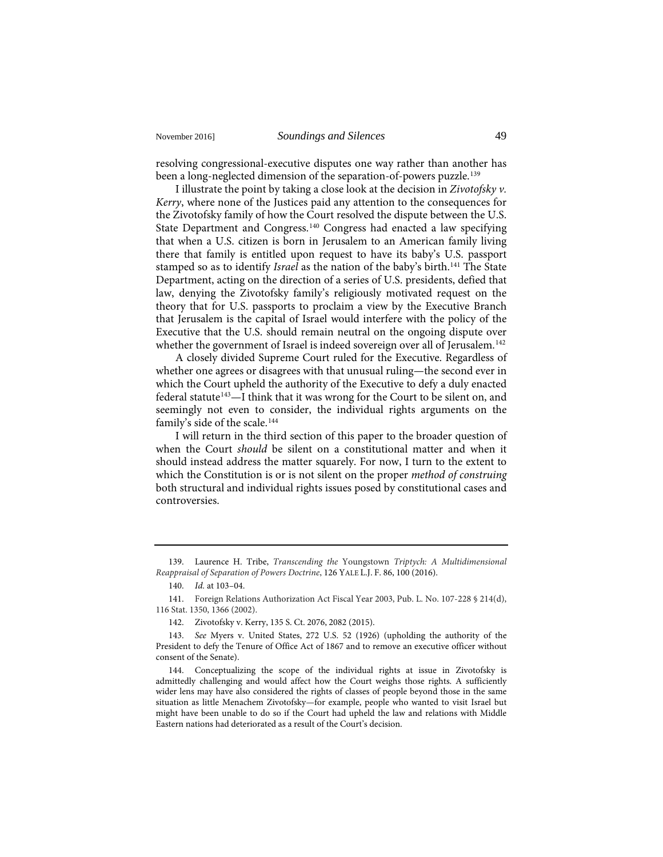## November 2016] *Soundings and Silences* 49

resolving congressional-executive disputes one way rather than another has been a long-neglected dimension of the separation-of-powers puzzle.<sup>[139](#page-24-0)</sup>

I illustrate the point by taking a close look at the decision in *Zivotofsky v. Kerry*, where none of the Justices paid any attention to the consequences for the Zivotofsky family of how the Court resolved the dispute between the U.S. State Department and Congress.[140](#page-24-1) Congress had enacted a law specifying that when a U.S. citizen is born in Jerusalem to an American family living there that family is entitled upon request to have its baby's U.S. passport stamped so as to identify *Israel* as the nation of the baby's birth.<sup>[141](#page-24-2)</sup> The State Department, acting on the direction of a series of U.S. presidents, defied that law, denying the Zivotofsky family's religiously motivated request on the theory that for U.S. passports to proclaim a view by the Executive Branch that Jerusalem is the capital of Israel would interfere with the policy of the Executive that the U.S. should remain neutral on the ongoing dispute over whether the government of Israel is indeed sovereign over all of Jerusalem.<sup>[142](#page-24-3)</sup>

A closely divided Supreme Court ruled for the Executive. Regardless of whether one agrees or disagrees with that unusual ruling—the second ever in which the Court upheld the authority of the Executive to defy a duly enacted federal statute<sup>[143](#page-24-4)</sup>—I think that it was wrong for the Court to be silent on, and seemingly not even to consider, the individual rights arguments on the family's side of the scale.<sup>[144](#page-24-5)</sup>

I will return in the third section of this paper to the broader question of when the Court *should* be silent on a constitutional matter and when it should instead address the matter squarely. For now, I turn to the extent to which the Constitution is or is not silent on the proper *method of construing* both structural and individual rights issues posed by constitutional cases and controversies.

<span id="page-24-0"></span><sup>139.</sup> Laurence H. Tribe, *Transcending the* Youngstown *Triptych: A Multidimensional Reappraisal of Separation of Powers Doctrine*, 126 YALE L.J. F. 86, 100 (2016).

<sup>140.</sup> *Id.* at 103–04.

<span id="page-24-2"></span><span id="page-24-1"></span><sup>141.</sup> Foreign Relations Authorization Act Fiscal Year 2003, Pub. L. No. 107-228 § 214(d), 116 Stat. 1350, 1366 (2002).

<sup>142.</sup> Zivotofsky v. Kerry, 135 S. Ct. 2076, 2082 (2015).

<span id="page-24-4"></span><span id="page-24-3"></span><sup>143.</sup> *See* Myers v. United States, 272 U.S. 52 (1926) (upholding the authority of the President to defy the Tenure of Office Act of 1867 and to remove an executive officer without consent of the Senate).

<span id="page-24-5"></span><sup>144.</sup> Conceptualizing the scope of the individual rights at issue in Zivotofsky is admittedly challenging and would affect how the Court weighs those rights. A sufficiently wider lens may have also considered the rights of classes of people beyond those in the same situation as little Menachem Zivotofsky—for example, people who wanted to visit Israel but might have been unable to do so if the Court had upheld the law and relations with Middle Eastern nations had deteriorated as a result of the Court's decision.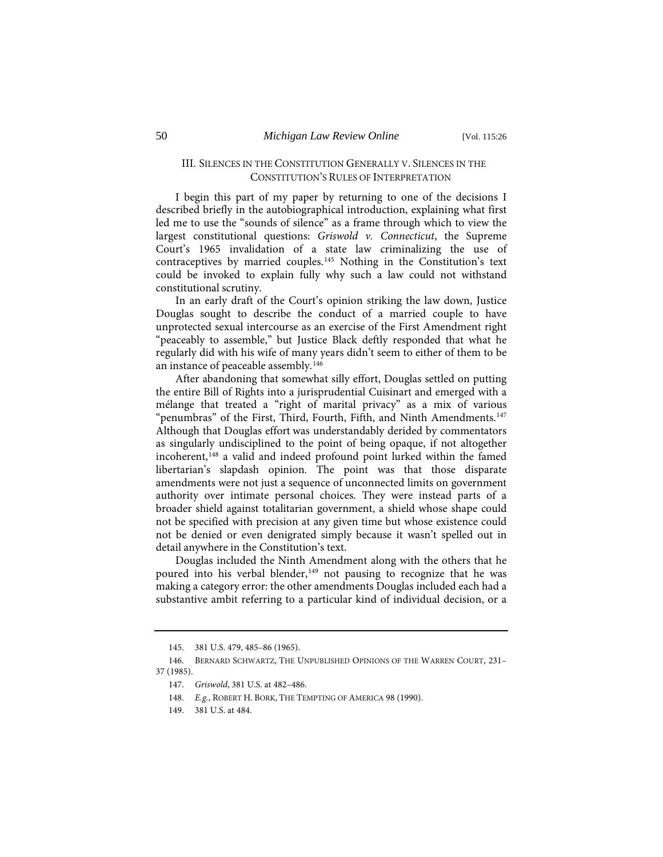# III. SILENCES IN THE CONSTITUTION GENERALLY V. SILENCES IN THE CONSTITUTION'S RULES OF INTERPRETATION

I begin this part of my paper by returning to one of the decisions I described briefly in the autobiographical introduction, explaining what first led me to use the "sounds of silence" as a frame through which to view the largest constitutional questions: *Griswold v. Connecticut*, the Supreme Court's 1965 invalidation of a state law criminalizing the use of contraceptives by married couples.[145](#page-25-0) Nothing in the Constitution's text could be invoked to explain fully why such a law could not withstand constitutional scrutiny.

In an early draft of the Court's opinion striking the law down, Justice Douglas sought to describe the conduct of a married couple to have unprotected sexual intercourse as an exercise of the First Amendment right "peaceably to assemble," but Justice Black deftly responded that what he regularly did with his wife of many years didn't seem to either of them to be an instance of peaceable assembly.<sup>[146](#page-25-1)</sup>

After abandoning that somewhat silly effort, Douglas settled on putting the entire Bill of Rights into a jurisprudential Cuisinart and emerged with a mélange that treated a "right of marital privacy" as a mix of various "penumbras" of the First, Third, Fourth, Fifth, and Ninth Amendments.<sup>[147](#page-25-2)</sup> Although that Douglas effort was understandably derided by commentators as singularly undisciplined to the point of being opaque, if not altogether incoherent,<sup>[148](#page-25-3)</sup> a valid and indeed profound point lurked within the famed libertarian's slapdash opinion. The point was that those disparate amendments were not just a sequence of unconnected limits on government authority over intimate personal choices. They were instead parts of a broader shield against totalitarian government, a shield whose shape could not be specified with precision at any given time but whose existence could not be denied or even denigrated simply because it wasn't spelled out in detail anywhere in the Constitution's text.

Douglas included the Ninth Amendment along with the others that he poured into his verbal blender,<sup>[149](#page-25-4)</sup> not pausing to recognize that he was making a category error: the other amendments Douglas included each had a substantive ambit referring to a particular kind of individual decision, or a

<sup>145. 381</sup> U.S. 479, 485–86 (1965).

<span id="page-25-4"></span><span id="page-25-3"></span><span id="page-25-2"></span><span id="page-25-1"></span><span id="page-25-0"></span><sup>146.</sup> BERNARD SCHWARTZ, THE UNPUBLISHED OPINIONS OF THE WARREN COURT, 231– 37 (1985).

<sup>147.</sup> *Griswold*, 381 U.S. at 482–486.

<sup>148.</sup> *E.g.*, ROBERT H. BORK, THE TEMPTING OF AMERICA 98 (1990).

<sup>149. 381</sup> U.S. at 484.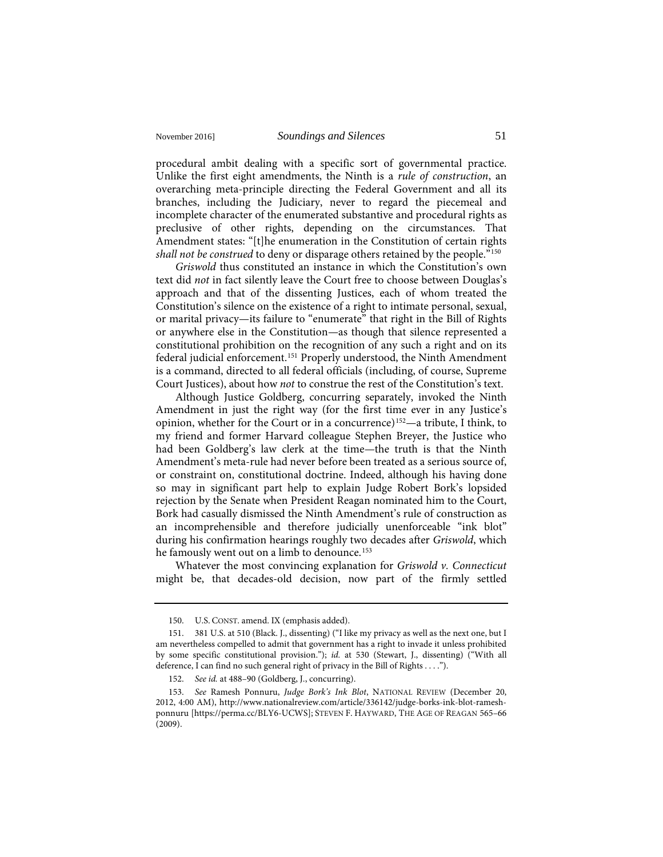procedural ambit dealing with a specific sort of governmental practice. Unlike the first eight amendments, the Ninth is a *rule of construction*, an overarching meta-principle directing the Federal Government and all its branches, including the Judiciary, never to regard the piecemeal and incomplete character of the enumerated substantive and procedural rights as preclusive of other rights, depending on the circumstances. That Amendment states: "[t]he enumeration in the Constitution of certain rights *shall not be construed* to deny or disparage others retained by the people.["150](#page-26-0)

*Griswold* thus constituted an instance in which the Constitution's own text did *not* in fact silently leave the Court free to choose between Douglas's approach and that of the dissenting Justices, each of whom treated the Constitution's silence on the existence of a right to intimate personal, sexual, or marital privacy—its failure to "enumerate" that right in the Bill of Rights or anywhere else in the Constitution—as though that silence represented a constitutional prohibition on the recognition of any such a right and on its federal judicial enforcement.[151](#page-26-1) Properly understood, the Ninth Amendment is a command, directed to all federal officials (including, of course, Supreme Court Justices), about how *not* to construe the rest of the Constitution's text.

Although Justice Goldberg, concurring separately, invoked the Ninth Amendment in just the right way (for the first time ever in any Justice's opinion, whether for the Court or in a concurrence)<sup>152</sup>—a tribute, I think, to my friend and former Harvard colleague Stephen Breyer, the Justice who had been Goldberg's law clerk at the time—the truth is that the Ninth Amendment's meta-rule had never before been treated as a serious source of, or constraint on, constitutional doctrine. Indeed, although his having done so may in significant part help to explain Judge Robert Bork's lopsided rejection by the Senate when President Reagan nominated him to the Court, Bork had casually dismissed the Ninth Amendment's rule of construction as an incomprehensible and therefore judicially unenforceable "ink blot" during his confirmation hearings roughly two decades after *Griswold*, which he famously went out on a limb to denounce.<sup>[153](#page-26-3)</sup>

Whatever the most convincing explanation for *Griswold v. Connecticut* might be, that decades-old decision, now part of the firmly settled

<sup>150.</sup> U.S. CONST. amend. IX (emphasis added).

<span id="page-26-1"></span><span id="page-26-0"></span><sup>151. 381</sup> U.S. at 510 (Black. J., dissenting) ("I like my privacy as well as the next one, but I am nevertheless compelled to admit that government has a right to invade it unless prohibited by some specific constitutional provision."); *id.* at 530 (Stewart, J., dissenting) ("With all deference, I can find no such general right of privacy in the Bill of Rights . . . .").

<sup>152.</sup> *See id.* at 488–90 (Goldberg, J., concurring).

<span id="page-26-3"></span><span id="page-26-2"></span><sup>153.</sup> *See* Ramesh Ponnuru, *Judge Bork's Ink Blot*, NATIONAL REVIEW (December 20, 2012, 4:00 AM), http://www.nationalreview.com/article/336142/judge-borks-ink-blot-rameshponnuru [https://perma.cc/BLY6-UCWS]; STEVEN F. HAYWARD, THE AGE OF REAGAN 565–66 (2009).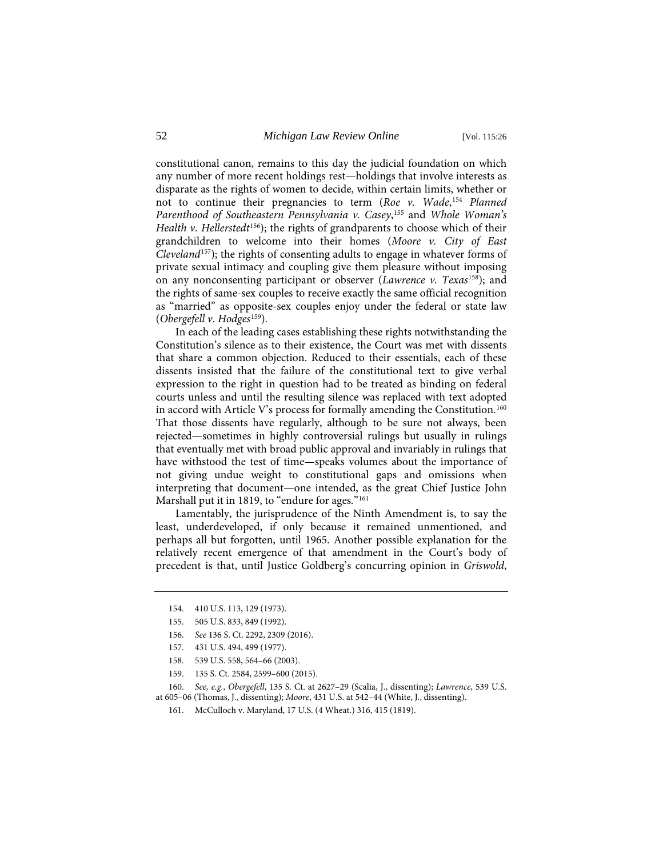constitutional canon, remains to this day the judicial foundation on which any number of more recent holdings rest—holdings that involve interests as disparate as the rights of women to decide, within certain limits, whether or not to continue their pregnancies to term (*Roe v. Wade*, [154](#page-27-0) *Planned Parenthood of Southeastern Pennsylvania v. Casey*, [155](#page-27-1) and *Whole Woman's Health v. Hellerstedt*<sup>[156](#page-27-2)</sup>); the rights of grandparents to choose which of their grandchildren to welcome into their homes (*Moore v. City of East Cleveland*[157\)](#page-27-3); the rights of consenting adults to engage in whatever forms of private sexual intimacy and coupling give them pleasure without imposing on any nonconsenting participant or observer (*Lawrence v. Texas*[158](#page-27-4)); and the rights of same-sex couples to receive exactly the same official recognition as "married" as opposite-sex couples enjoy under the federal or state law (*Obergefell v. Hodges*[159](#page-27-5)).

In each of the leading cases establishing these rights notwithstanding the Constitution's silence as to their existence, the Court was met with dissents that share a common objection. Reduced to their essentials, each of these dissents insisted that the failure of the constitutional text to give verbal expression to the right in question had to be treated as binding on federal courts unless and until the resulting silence was replaced with text adopted in accord with Article V's process for formally amending the Constitution.<sup>[160](#page-27-6)</sup> That those dissents have regularly, although to be sure not always, been rejected—sometimes in highly controversial rulings but usually in rulings that eventually met with broad public approval and invariably in rulings that have withstood the test of time—speaks volumes about the importance of not giving undue weight to constitutional gaps and omissions when interpreting that document—one intended, as the great Chief Justice John Marshall put it in 1819, to "endure for ages."<sup>[161](#page-27-7)</sup>

Lamentably, the jurisprudence of the Ninth Amendment is, to say the least, underdeveloped, if only because it remained unmentioned, and perhaps all but forgotten, until 1965. Another possible explanation for the relatively recent emergence of that amendment in the Court's body of precedent is that, until Justice Goldberg's concurring opinion in *Griswold*,

<span id="page-27-0"></span><sup>154. 410</sup> U.S. 113, 129 (1973).

<span id="page-27-1"></span><sup>155. 505</sup> U.S. 833, 849 (1992).

<sup>156.</sup> *See* 136 S. Ct. 2292, 2309 (2016).

<sup>157. 431</sup> U.S. 494, 499 (1977).

<sup>158. 539</sup> U.S. 558, 564–66 (2003).

<sup>159. 135</sup> S. Ct. 2584, 2599–600 (2015).

<span id="page-27-7"></span><span id="page-27-6"></span><span id="page-27-5"></span><span id="page-27-4"></span><span id="page-27-3"></span><span id="page-27-2"></span><sup>160.</sup> *See, e.g.*, *Obergefell*, 135 S. Ct. at 2627–29 (Scalia, J., dissenting); *Lawrence*, 539 U.S. at 605–06 (Thomas, J., dissenting); *Moore*, 431 U.S. at 542–44 (White, J., dissenting).

<sup>161.</sup> McCulloch v. Maryland, 17 U.S. (4 Wheat.) 316, 415 (1819).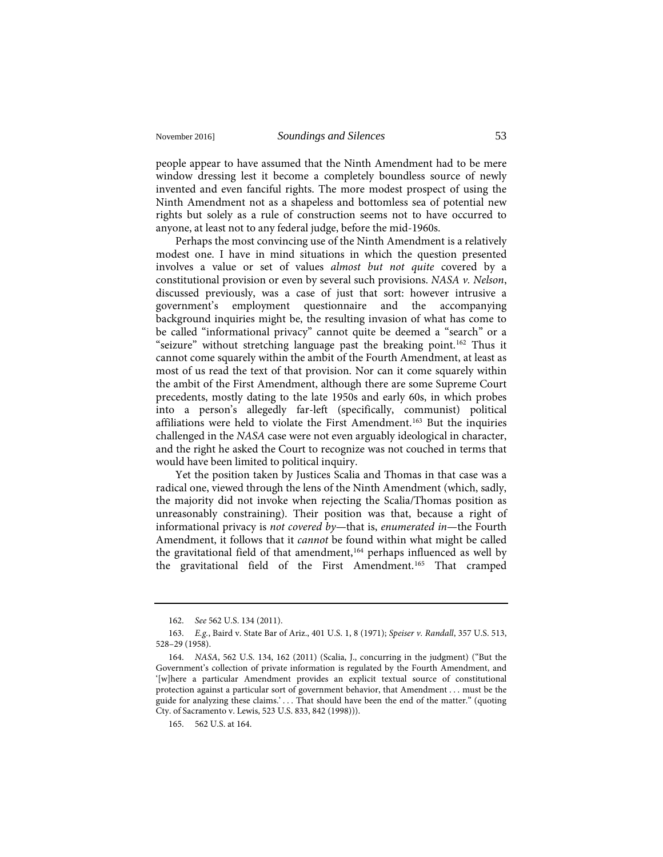people appear to have assumed that the Ninth Amendment had to be mere window dressing lest it become a completely boundless source of newly invented and even fanciful rights. The more modest prospect of using the Ninth Amendment not as a shapeless and bottomless sea of potential new rights but solely as a rule of construction seems not to have occurred to anyone, at least not to any federal judge, before the mid-1960s.

Perhaps the most convincing use of the Ninth Amendment is a relatively modest one. I have in mind situations in which the question presented involves a value or set of values *almost but not quite* covered by a constitutional provision or even by several such provisions. *NASA v. Nelson*, discussed previously, was a case of just that sort: however intrusive a government's employment questionnaire and the accompanying background inquiries might be, the resulting invasion of what has come to be called "informational privacy" cannot quite be deemed a "search" or a "seizure" without stretching language past the breaking point.<sup>[162](#page-28-0)</sup> Thus it cannot come squarely within the ambit of the Fourth Amendment, at least as most of us read the text of that provision. Nor can it come squarely within the ambit of the First Amendment, although there are some Supreme Court precedents, mostly dating to the late 1950s and early 60s, in which probes into a person's allegedly far-left (specifically, communist) political affiliations were held to violate the First Amendment.<sup>[163](#page-28-1)</sup> But the inquiries challenged in the *NASA* case were not even arguably ideological in character, and the right he asked the Court to recognize was not couched in terms that would have been limited to political inquiry.

Yet the position taken by Justices Scalia and Thomas in that case was a radical one, viewed through the lens of the Ninth Amendment (which, sadly, the majority did not invoke when rejecting the Scalia/Thomas position as unreasonably constraining). Their position was that, because a right of informational privacy is *not covered by*—that is, *enumerated in*—the Fourth Amendment, it follows that it *cannot* be found within what might be called the gravitational field of that amendment,<sup>[164](#page-28-2)</sup> perhaps influenced as well by the gravitational field of the First Amendment.[165](#page-28-3) That cramped

<sup>162.</sup> *See* 562 U.S. 134 (2011).

<span id="page-28-1"></span><span id="page-28-0"></span><sup>163.</sup> *E.g.*, Baird v. State Bar of Ariz., 401 U.S. 1, 8 (1971); *Speiser v. Randall*, 357 U.S. 513, 528–29 (1958).

<span id="page-28-3"></span><span id="page-28-2"></span><sup>164.</sup> *NASA*, 562 U.S. 134, 162 (2011) (Scalia, J., concurring in the judgment) ("But the Government's collection of private information is regulated by the Fourth Amendment, and '[w]here a particular Amendment provides an explicit textual source of constitutional protection against a particular sort of government behavior, that Amendment . . . must be the guide for analyzing these claims.' . . . That should have been the end of the matter." (quoting Cty. of Sacramento v. Lewis, 523 U.S. 833, 842 (1998))).

<sup>165. 562</sup> U.S. at 164.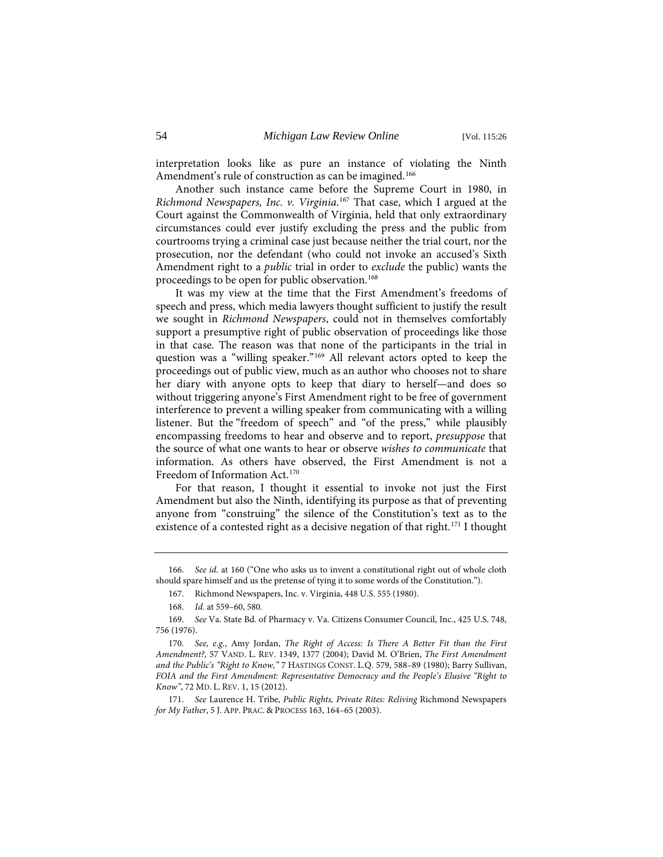interpretation looks like as pure an instance of violating the Ninth Amendment's rule of construction as can be imagined.<sup>[166](#page-29-0)</sup>

Another such instance came before the Supreme Court in 1980, in *Richmond Newspapers, Inc. v. Virginia*. [167](#page-29-1) That case, which I argued at the Court against the Commonwealth of Virginia, held that only extraordinary circumstances could ever justify excluding the press and the public from courtrooms trying a criminal case just because neither the trial court, nor the prosecution, nor the defendant (who could not invoke an accused's Sixth Amendment right to a *public* trial in order to *exclude* the public) wants the proceedings to be open for public observation.<sup>[168](#page-29-2)</sup>

It was my view at the time that the First Amendment's freedoms of speech and press, which media lawyers thought sufficient to justify the result we sought in *Richmond Newspapers*, could not in themselves comfortably support a presumptive right of public observation of proceedings like those in that case. The reason was that none of the participants in the trial in question was a "willing speaker."[169](#page-29-3) All relevant actors opted to keep the proceedings out of public view, much as an author who chooses not to share her diary with anyone opts to keep that diary to herself—and does so without triggering anyone's First Amendment right to be free of government interference to prevent a willing speaker from communicating with a willing listener. But the "freedom of speech" and "of the press," while plausibly encompassing freedoms to hear and observe and to report, *presuppose* that the source of what one wants to hear or observe *wishes to communicate* that information. As others have observed, the First Amendment is not a Freedom of Information Act.<sup>[170](#page-29-4)</sup>

For that reason, I thought it essential to invoke not just the First Amendment but also the Ninth, identifying its purpose as that of preventing anyone from "construing" the silence of the Constitution's text as to the existence of a contested right as a decisive negation of that right.[171](#page-29-5) I thought

<span id="page-29-1"></span><span id="page-29-0"></span><sup>166.</sup> *See id.* at 160 ("One who asks us to invent a constitutional right out of whole cloth should spare himself and us the pretense of tying it to some words of the Constitution.").

<sup>167.</sup> Richmond Newspapers, Inc. v. Virginia, 448 U.S. 555 (1980).

<sup>168.</sup> *Id.* at 559–60, 580.

<span id="page-29-3"></span><span id="page-29-2"></span><sup>169.</sup> *See* Va. State Bd. of Pharmacy v. Va. Citizens Consumer Council, Inc., 425 U.S. 748, 756 (1976).

<span id="page-29-4"></span><sup>170.</sup> *See, e.g.*, Amy Jordan, *The Right of Access: Is There A Better Fit than the First Amendment?*, 57 VAND. L. REV. 1349, 1377 (2004); David M. O'Brien, *The First Amendment and the Public's "Right to Know,"* 7 HASTINGS CONST. L.Q. 579, 588–89 (1980); Barry Sullivan, *FOIA and the First Amendment: Representative Democracy and the People's Elusive "Right to Know"*, 72 MD. L. REV. 1, 15 (2012).

<span id="page-29-5"></span><sup>171.</sup> *See* Laurence H. Tribe, *Public Rights, Private Rites: Reliving* Richmond Newspapers *for My Father*, 5 J. APP. PRAC. & PROCESS 163, 164–65 (2003).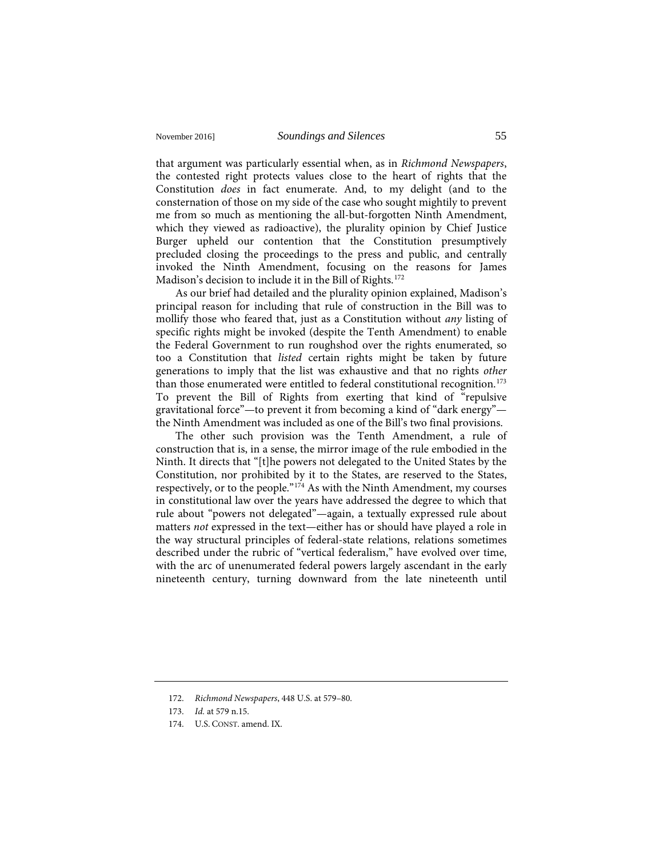## November 2016] *Soundings and Silences* 55

that argument was particularly essential when, as in *Richmond Newspapers*, the contested right protects values close to the heart of rights that the Constitution *does* in fact enumerate. And, to my delight (and to the consternation of those on my side of the case who sought mightily to prevent me from so much as mentioning the all-but-forgotten Ninth Amendment, which they viewed as radioactive), the plurality opinion by Chief Justice Burger upheld our contention that the Constitution presumptively precluded closing the proceedings to the press and public, and centrally invoked the Ninth Amendment, focusing on the reasons for James Madison's decision to include it in the Bill of Rights.<sup>[172](#page-30-0)</sup>

As our brief had detailed and the plurality opinion explained, Madison's principal reason for including that rule of construction in the Bill was to mollify those who feared that, just as a Constitution without *any* listing of specific rights might be invoked (despite the Tenth Amendment) to enable the Federal Government to run roughshod over the rights enumerated, so too a Constitution that *listed* certain rights might be taken by future generations to imply that the list was exhaustive and that no rights *other* than those enumerated were entitled to federal constitutional recognition.<sup>[173](#page-30-1)</sup> To prevent the Bill of Rights from exerting that kind of "repulsive gravitational force"—to prevent it from becoming a kind of "dark energy" the Ninth Amendment was included as one of the Bill's two final provisions.

The other such provision was the Tenth Amendment, a rule of construction that is, in a sense, the mirror image of the rule embodied in the Ninth. It directs that "[t]he powers not delegated to the United States by the Constitution, nor prohibited by it to the States, are reserved to the States, respectively, or to the people."[174](#page-30-2) As with the Ninth Amendment, my courses in constitutional law over the years have addressed the degree to which that rule about "powers not delegated"—again, a textually expressed rule about matters *not* expressed in the text—either has or should have played a role in the way structural principles of federal-state relations, relations sometimes described under the rubric of "vertical federalism," have evolved over time, with the arc of unenumerated federal powers largely ascendant in the early nineteenth century, turning downward from the late nineteenth until

<span id="page-30-0"></span><sup>172.</sup> *Richmond Newspapers*, 448 U.S. at 579–80.

<sup>173.</sup> *Id.* at 579 n.15.

<span id="page-30-2"></span><span id="page-30-1"></span><sup>174.</sup> U.S. CONST. amend. IX.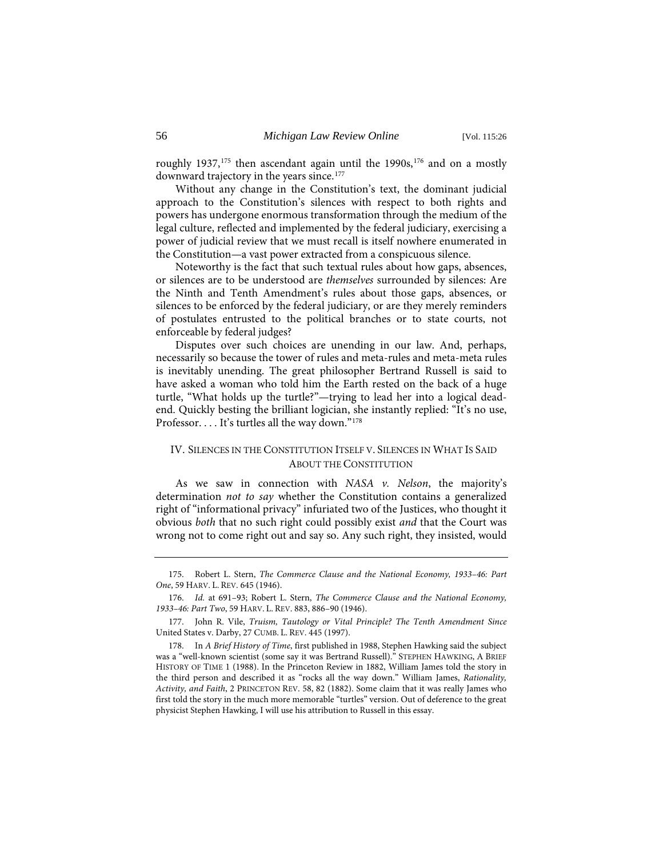roughly 1937,<sup>[175](#page-31-0)</sup> then ascendant again until the 1990s,<sup>[176](#page-31-1)</sup> and on a mostly downward trajectory in the years since.<sup>[177](#page-31-2)</sup>

Without any change in the Constitution's text, the dominant judicial approach to the Constitution's silences with respect to both rights and powers has undergone enormous transformation through the medium of the legal culture, reflected and implemented by the federal judiciary, exercising a power of judicial review that we must recall is itself nowhere enumerated in the Constitution—a vast power extracted from a conspicuous silence.

Noteworthy is the fact that such textual rules about how gaps, absences, or silences are to be understood are *themselves* surrounded by silences: Are the Ninth and Tenth Amendment's rules about those gaps, absences, or silences to be enforced by the federal judiciary, or are they merely reminders of postulates entrusted to the political branches or to state courts, not enforceable by federal judges?

Disputes over such choices are unending in our law. And, perhaps, necessarily so because the tower of rules and meta-rules and meta-meta rules is inevitably unending. The great philosopher Bertrand Russell is said to have asked a woman who told him the Earth rested on the back of a huge turtle, "What holds up the turtle?"—trying to lead her into a logical deadend. Quickly besting the brilliant logician, she instantly replied: "It's no use, Professor. . . . It's turtles all the way down."<sup>178</sup>

# IV. SILENCES IN THE CONSTITUTION ITSELF V. SILENCES IN WHAT IS SAID ABOUT THE CONSTITUTION

As we saw in connection with *NASA v. Nelson*, the majority's determination *not to say* whether the Constitution contains a generalized right of "informational privacy" infuriated two of the Justices, who thought it obvious *both* that no such right could possibly exist *and* that the Court was wrong not to come right out and say so. Any such right, they insisted, would

<span id="page-31-0"></span><sup>175.</sup> Robert L. Stern, *The Commerce Clause and the National Economy, 1933–46: Part One*, 59 HARV. L. REV. 645 (1946).

<span id="page-31-1"></span><sup>176.</sup> *Id.* at 691–93; Robert L. Stern, *The Commerce Clause and the National Economy, 1933–46: Part Two*, 59 HARV. L. REV. 883, 886–90 (1946).

<span id="page-31-2"></span><sup>177.</sup> John R. Vile, *Truism, Tautology or Vital Principle? The Tenth Amendment Since*  United States v. Darby, 27 CUMB. L. REV. 445 (1997).

<span id="page-31-3"></span><sup>178.</sup> In *A Brief History of Time*, first published in 1988, Stephen Hawking said the subject was a "well-known scientist (some say it was Bertrand Russell)." STEPHEN HAWKING, A BRIEF HISTORY OF TIME 1 (1988). In the Princeton Review in 1882, William James told the story in the third person and described it as "rocks all the way down." William James, *Rationality, Activity, and Faith*, 2 PRINCETON REV. 58, 82 (1882). Some claim that it was really James who first told the story in the much more memorable "turtles" version. Out of deference to the great physicist Stephen Hawking, I will use his attribution to Russell in this essay.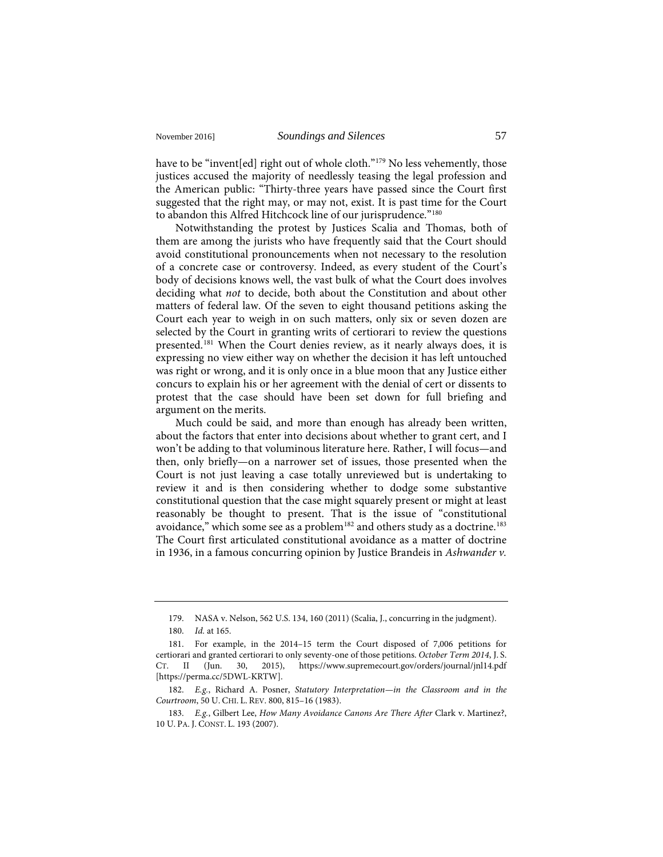have to be "invent[ed] right out of whole cloth."<sup>[179](#page-32-0)</sup> No less vehemently, those justices accused the majority of needlessly teasing the legal profession and the American public: "Thirty-three years have passed since the Court first suggested that the right may, or may not, exist. It is past time for the Court to abandon this Alfred Hitchcock line of our jurisprudence."<sup>[180](#page-32-1)</sup>

Notwithstanding the protest by Justices Scalia and Thomas, both of them are among the jurists who have frequently said that the Court should avoid constitutional pronouncements when not necessary to the resolution of a concrete case or controversy. Indeed, as every student of the Court's body of decisions knows well, the vast bulk of what the Court does involves deciding what *not* to decide, both about the Constitution and about other matters of federal law. Of the seven to eight thousand petitions asking the Court each year to weigh in on such matters, only six or seven dozen are selected by the Court in granting writs of certiorari to review the questions presented.[181](#page-32-2) When the Court denies review, as it nearly always does, it is expressing no view either way on whether the decision it has left untouched was right or wrong, and it is only once in a blue moon that any Justice either concurs to explain his or her agreement with the denial of cert or dissents to protest that the case should have been set down for full briefing and argument on the merits.

Much could be said, and more than enough has already been written, about the factors that enter into decisions about whether to grant cert, and I won't be adding to that voluminous literature here. Rather, I will focus—and then, only briefly—on a narrower set of issues, those presented when the Court is not just leaving a case totally unreviewed but is undertaking to review it and is then considering whether to dodge some substantive constitutional question that the case might squarely present or might at least reasonably be thought to present. That is the issue of "constitutional avoidance," which some see as a problem<sup>[182](#page-32-3)</sup> and others study as a doctrine.<sup>[183](#page-32-4)</sup> The Court first articulated constitutional avoidance as a matter of doctrine in 1936, in a famous concurring opinion by Justice Brandeis in *Ashwander v.* 

<sup>179.</sup> NASA v. Nelson, 562 U.S. 134, 160 (2011) (Scalia, J., concurring in the judgment).

<sup>180.</sup> *Id.* at 165.

<span id="page-32-2"></span><span id="page-32-1"></span><span id="page-32-0"></span><sup>181.</sup> For example, in the 2014–15 term the Court disposed of 7,006 petitions for certiorari and granted certiorari to only seventy-one of those petitions. *October Term 2014*, J. S. CT. II (Jun. 30, 2015), https://www.supremecourt.gov/orders/journal/jnl14.pdf [https://perma.cc/5DWL-KRTW].

<span id="page-32-3"></span><sup>182.</sup> *E.g.*, Richard A. Posner, *Statutory Interpretation—in the Classroom and in the Courtroom*, 50 U. CHI. L. REV. 800, 815–16 (1983).

<span id="page-32-4"></span><sup>183.</sup> *E.g.*, Gilbert Lee, *How Many Avoidance Canons Are There After* Clark v. Martinez?, 10 U. PA. J. CONST. L. 193 (2007).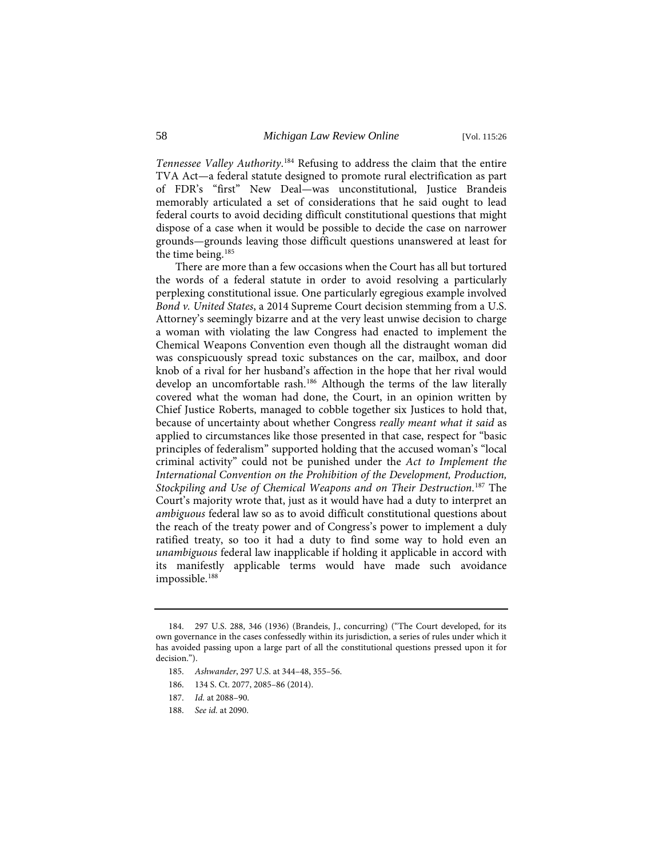*Tennessee Valley Authority*. [184](#page-33-0) Refusing to address the claim that the entire TVA Act—a federal statute designed to promote rural electrification as part of FDR's "first" New Deal—was unconstitutional, Justice Brandeis memorably articulated a set of considerations that he said ought to lead federal courts to avoid deciding difficult constitutional questions that might dispose of a case when it would be possible to decide the case on narrower grounds—grounds leaving those difficult questions unanswered at least for the time being.<sup>[185](#page-33-1)</sup>

There are more than a few occasions when the Court has all but tortured the words of a federal statute in order to avoid resolving a particularly perplexing constitutional issue. One particularly egregious example involved *Bond v. United States*, a 2014 Supreme Court decision stemming from a U.S. Attorney's seemingly bizarre and at the very least unwise decision to charge a woman with violating the law Congress had enacted to implement the Chemical Weapons Convention even though all the distraught woman did was conspicuously spread toxic substances on the car, mailbox, and door knob of a rival for her husband's affection in the hope that her rival would develop an uncomfortable rash.[186](#page-33-2) Although the terms of the law literally covered what the woman had done, the Court, in an opinion written by Chief Justice Roberts, managed to cobble together six Justices to hold that, because of uncertainty about whether Congress *really meant what it said* as applied to circumstances like those presented in that case, respect for "basic principles of federalism" supported holding that the accused woman's "local criminal activity" could not be punished under the *Act to Implement the International Convention on the Prohibition of the Development, Production, Stockpiling and Use of Chemical Weapons and on Their Destruction*. [187](#page-33-3) The Court's majority wrote that, just as it would have had a duty to interpret an *ambiguous* federal law so as to avoid difficult constitutional questions about the reach of the treaty power and of Congress's power to implement a duly ratified treaty, so too it had a duty to find some way to hold even an *unambiguous* federal law inapplicable if holding it applicable in accord with its manifestly applicable terms would have made such avoidance impossible.<sup>[188](#page-33-4)</sup>

<span id="page-33-2"></span><span id="page-33-1"></span><span id="page-33-0"></span><sup>184. 297</sup> U.S. 288, 346 (1936) (Brandeis, J., concurring) ("The Court developed, for its own governance in the cases confessedly within its jurisdiction, a series of rules under which it has avoided passing upon a large part of all the constitutional questions pressed upon it for decision.").

<sup>185.</sup> *Ashwander*, 297 U.S. at 344–48, 355–56.

<sup>186. 134</sup> S. Ct. 2077, 2085–86 (2014).

<span id="page-33-3"></span><sup>187.</sup> *Id.* at 2088–90.

<span id="page-33-4"></span><sup>188.</sup> *See id.* at 2090.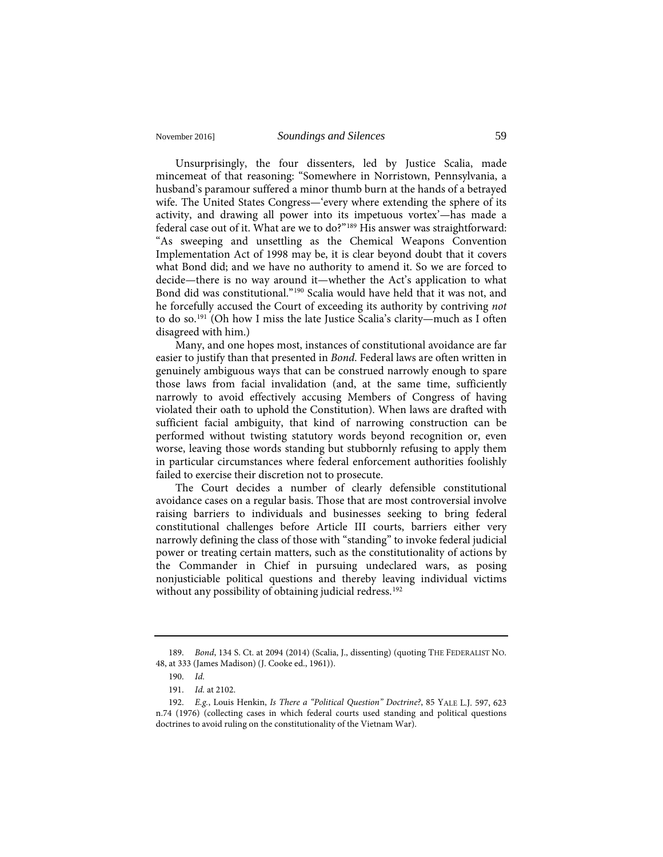## November 2016] *Soundings and Silences* 59

Unsurprisingly, the four dissenters, led by Justice Scalia, made mincemeat of that reasoning: "Somewhere in Norristown, Pennsylvania, a husband's paramour suffered a minor thumb burn at the hands of a betrayed wife. The United States Congress—'every where extending the sphere of its activity, and drawing all power into its impetuous vortex'—has made a federal case out of it. What are we to do?"[189](#page-34-0) His answer was straightforward: "As sweeping and unsettling as the Chemical Weapons Convention Implementation Act of 1998 may be, it is clear beyond doubt that it covers what Bond did; and we have no authority to amend it. So we are forced to decide—there is no way around it—whether the Act's application to what Bond did was constitutional."[190](#page-34-1) Scalia would have held that it was not, and he forcefully accused the Court of exceeding its authority by contriving *not* to do so.[191](#page-34-2) (Oh how I miss the late Justice Scalia's clarity—much as I often disagreed with him.)

Many, and one hopes most, instances of constitutional avoidance are far easier to justify than that presented in *Bond*. Federal laws are often written in genuinely ambiguous ways that can be construed narrowly enough to spare those laws from facial invalidation (and, at the same time, sufficiently narrowly to avoid effectively accusing Members of Congress of having violated their oath to uphold the Constitution). When laws are drafted with sufficient facial ambiguity, that kind of narrowing construction can be performed without twisting statutory words beyond recognition or, even worse, leaving those words standing but stubbornly refusing to apply them in particular circumstances where federal enforcement authorities foolishly failed to exercise their discretion not to prosecute.

The Court decides a number of clearly defensible constitutional avoidance cases on a regular basis. Those that are most controversial involve raising barriers to individuals and businesses seeking to bring federal constitutional challenges before Article III courts, barriers either very narrowly defining the class of those with "standing" to invoke federal judicial power or treating certain matters, such as the constitutionality of actions by the Commander in Chief in pursuing undeclared wars, as posing nonjusticiable political questions and thereby leaving individual victims without any possibility of obtaining judicial redress.<sup>[192](#page-34-3)</sup>

<span id="page-34-1"></span><span id="page-34-0"></span><sup>189.</sup> *Bond*, 134 S. Ct. at 2094 (2014) (Scalia, J., dissenting) (quoting THE FEDERALIST NO. 48, at 333 (James Madison) (J. Cooke ed., 1961)).

<sup>190.</sup> *Id.*

<sup>191.</sup> *Id.* at 2102.

<span id="page-34-3"></span><span id="page-34-2"></span><sup>192.</sup> *E.g.*, Louis Henkin, *Is There a "Political Question" Doctrine?*, 85 YALE L.J. 597, 623 n.74 (1976) (collecting cases in which federal courts used standing and political questions doctrines to avoid ruling on the constitutionality of the Vietnam War).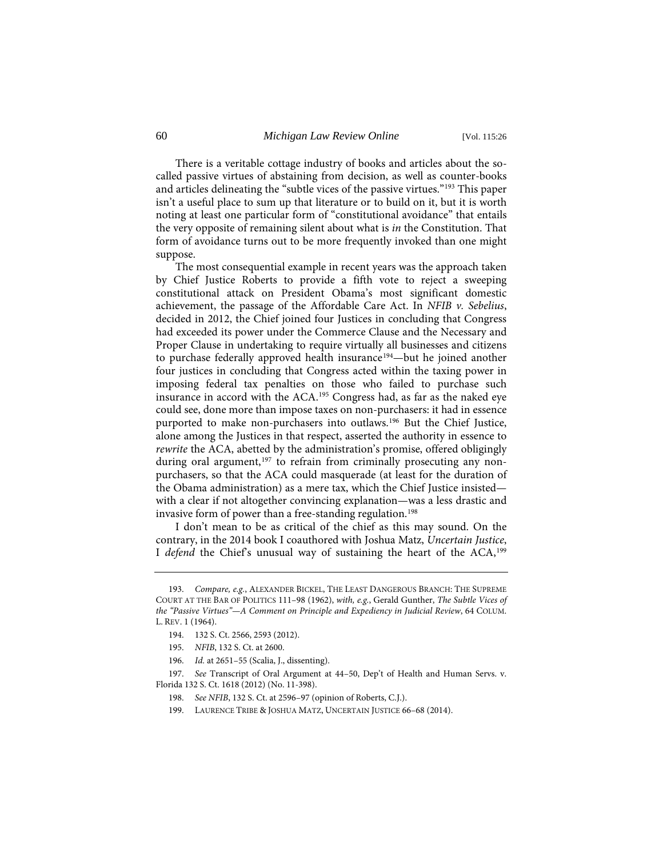There is a veritable cottage industry of books and articles about the socalled passive virtues of abstaining from decision, as well as counter-books and articles delineating the "subtle vices of the passive virtues."[193](#page-35-0) This paper isn't a useful place to sum up that literature or to build on it, but it is worth noting at least one particular form of "constitutional avoidance" that entails the very opposite of remaining silent about what is *in* the Constitution. That form of avoidance turns out to be more frequently invoked than one might suppose.

The most consequential example in recent years was the approach taken by Chief Justice Roberts to provide a fifth vote to reject a sweeping constitutional attack on President Obama's most significant domestic achievement, the passage of the Affordable Care Act. In *NFIB v. Sebelius*, decided in 2012, the Chief joined four Justices in concluding that Congress had exceeded its power under the Commerce Clause and the Necessary and Proper Clause in undertaking to require virtually all businesses and citizens to purchase federally approved health insurance<sup>[194](#page-35-1)</sup>—but he joined another four justices in concluding that Congress acted within the taxing power in imposing federal tax penalties on those who failed to purchase such insurance in accord with the ACA.<sup>195</sup> Congress had, as far as the naked eye could see, done more than impose taxes on non-purchasers: it had in essence purported to make non-purchasers into outlaws.<sup>196</sup> But the Chief Justice, alone among the Justices in that respect, asserted the authority in essence to *rewrite* the ACA, abetted by the administration's promise, offered obligingly during oral argument,<sup>[197](#page-35-4)</sup> to refrain from criminally prosecuting any nonpurchasers, so that the ACA could masquerade (at least for the duration of the Obama administration) as a mere tax, which the Chief Justice insisted with a clear if not altogether convincing explanation—was a less drastic and invasive form of power than a free-standing regulation.<sup>[198](#page-35-5)</sup>

I don't mean to be as critical of the chief as this may sound. On the contrary, in the 2014 book I coauthored with Joshua Matz, *Uncertain Justice*, I *defend* the Chief's unusual way of sustaining the heart of the ACA,<sup>[199](#page-35-6)</sup>

<span id="page-35-0"></span><sup>193.</sup> *Compare, e.g.*, ALEXANDER BICKEL, THE LEAST DANGEROUS BRANCH: THE SUPREME COURT AT THE BAR OF POLITICS 111–98 (1962), *with, e.g.*, Gerald Gunther, *The Subtle Vices of the "Passive Virtues"—A Comment on Principle and Expediency in Judicial Review*, 64 COLUM. L. REV. 1 (1964).

<sup>194. 132</sup> S. Ct. 2566, 2593 (2012).

<sup>195.</sup> *NFIB*, 132 S. Ct. at 2600.

<sup>196.</sup> *Id.* at 2651–55 (Scalia, J., dissenting).

<span id="page-35-6"></span><span id="page-35-5"></span><span id="page-35-4"></span><span id="page-35-3"></span><span id="page-35-2"></span><span id="page-35-1"></span><sup>197.</sup> *See* Transcript of Oral Argument at 44–50, Dep't of Health and Human Servs. v. Florida 132 S. Ct. 1618 (2012) (No. 11-398).

<sup>198.</sup> *See NFIB*, 132 S. Ct. at 2596–97 (opinion of Roberts, C.J.).

<sup>199.</sup> LAURENCE TRIBE & JOSHUA MATZ, UNCERTAIN JUSTICE 66–68 (2014).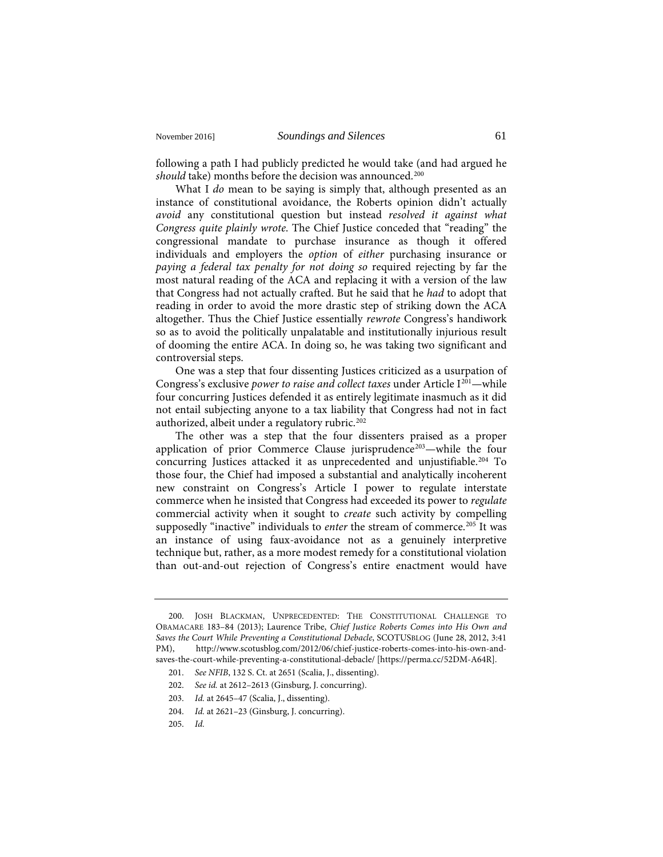#### November 2016] *Soundings and Silences* 61

following a path I had publicly predicted he would take (and had argued he should take) months before the decision was announced.<sup>[200](#page-36-0)</sup>

What I *do* mean to be saying is simply that, although presented as an instance of constitutional avoidance, the Roberts opinion didn't actually *avoid* any constitutional question but instead *resolved it against what Congress quite plainly wrote*. The Chief Justice conceded that "reading" the congressional mandate to purchase insurance as though it offered individuals and employers the *option* of *either* purchasing insurance or *paying a federal tax penalty for not doing so* required rejecting by far the most natural reading of the ACA and replacing it with a version of the law that Congress had not actually crafted. But he said that he *had* to adopt that reading in order to avoid the more drastic step of striking down the ACA altogether. Thus the Chief Justice essentially *rewrote* Congress's handiwork so as to avoid the politically unpalatable and institutionally injurious result of dooming the entire ACA. In doing so, he was taking two significant and controversial steps.

One was a step that four dissenting Justices criticized as a usurpation of Congress's exclusive *power to raise and collect taxes* under Article I<sup>201</sup>—while four concurring Justices defended it as entirely legitimate inasmuch as it did not entail subjecting anyone to a tax liability that Congress had not in fact authorized, albeit under a regulatory rubric.<sup>[202](#page-36-2)</sup>

The other was a step that the four dissenters praised as a proper application of prior Commerce Clause jurisprudence<sup>203</sup>—while the four concurring Justices attacked it as unprecedented and unjustifiable.<sup>[204](#page-36-4)</sup> To those four, the Chief had imposed a substantial and analytically incoherent new constraint on Congress's Article I power to regulate interstate commerce when he insisted that Congress had exceeded its power to *regulate* commercial activity when it sought to *create* such activity by compelling supposedly "inactive" individuals to *enter* the stream of commerce.<sup>[205](#page-36-5)</sup> It was an instance of using faux-avoidance not as a genuinely interpretive technique but, rather, as a more modest remedy for a constitutional violation than out-and-out rejection of Congress's entire enactment would have

<span id="page-36-1"></span><span id="page-36-0"></span><sup>200.</sup> JOSH BLACKMAN, UNPRECEDENTED: THE CONSTITUTIONAL CHALLENGE TO OBAMACARE 183–84 (2013); Laurence Tribe, *Chief Justice Roberts Comes into His Own and Saves the Court While Preventing a Constitutional Debacle*, SCOTUSBLOG (June 28, 2012, 3:41 PM), http://www.scotusblog.com/2012/06/chief-justice-roberts-comes-into-his-own-andsaves-the-court-while-preventing-a-constitutional-debacle/ [https://perma.cc/52DM-A64R].

<sup>201.</sup> *See NFIB*, 132 S. Ct. at 2651 (Scalia, J., dissenting).

<span id="page-36-2"></span><sup>202.</sup> *See id.* at 2612–2613 (Ginsburg, J. concurring).

<span id="page-36-3"></span><sup>203.</sup> *Id.* at 2645–47 (Scalia, J., dissenting).

<sup>204.</sup> *Id.* at 2621–23 (Ginsburg, J. concurring).

<span id="page-36-5"></span><span id="page-36-4"></span><sup>205.</sup> *Id.*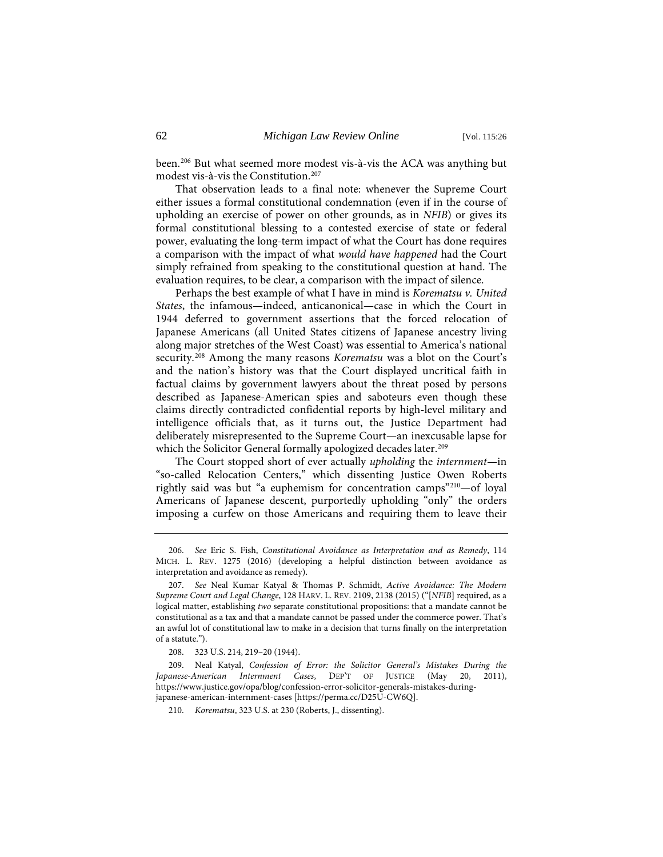been.<sup>[206](#page-37-0)</sup> But what seemed more modest vis-à-vis the ACA was anything but modest vis-à-vis the Constitution.[207](#page-37-1)

That observation leads to a final note: whenever the Supreme Court either issues a formal constitutional condemnation (even if in the course of upholding an exercise of power on other grounds, as in *NFIB*) or gives its formal constitutional blessing to a contested exercise of state or federal power, evaluating the long-term impact of what the Court has done requires a comparison with the impact of what *would have happened* had the Court simply refrained from speaking to the constitutional question at hand. The evaluation requires, to be clear, a comparison with the impact of silence.

Perhaps the best example of what I have in mind is *Korematsu v. United States*, the infamous—indeed, anticanonical—case in which the Court in 1944 deferred to government assertions that the forced relocation of Japanese Americans (all United States citizens of Japanese ancestry living along major stretches of the West Coast) was essential to America's national security.[208](#page-37-2) Among the many reasons *Korematsu* was a blot on the Court's and the nation's history was that the Court displayed uncritical faith in factual claims by government lawyers about the threat posed by persons described as Japanese-American spies and saboteurs even though these claims directly contradicted confidential reports by high-level military and intelligence officials that, as it turns out, the Justice Department had deliberately misrepresented to the Supreme Court—an inexcusable lapse for which the Solicitor General formally apologized decades later.<sup>[209](#page-37-3)</sup>

The Court stopped short of ever actually *upholding* the *internment*—in "so-called Relocation Centers," which dissenting Justice Owen Roberts rightly said was but "a euphemism for concentration camps"<sup>[210](#page-37-4)</sup>-of loyal Americans of Japanese descent, purportedly upholding "only" the orders imposing a curfew on those Americans and requiring them to leave their

<span id="page-37-0"></span><sup>206.</sup> *See* Eric S. Fish, *Constitutional Avoidance as Interpretation and as Remedy*, 114 MICH. L. REV. 1275 (2016) (developing a helpful distinction between avoidance as interpretation and avoidance as remedy).

<span id="page-37-1"></span><sup>207.</sup> *See* Neal Kumar Katyal & Thomas P. Schmidt, *Active Avoidance: The Modern Supreme Court and Legal Change*, 128 HARV. L. REV. 2109, 2138 (2015) ("[*NFIB*] required, as a logical matter, establishing *two* separate constitutional propositions: that a mandate cannot be constitutional as a tax and that a mandate cannot be passed under the commerce power. That's an awful lot of constitutional law to make in a decision that turns finally on the interpretation of a statute.").

<sup>208. 323</sup> U.S. 214, 219–20 (1944).

<span id="page-37-4"></span><span id="page-37-3"></span><span id="page-37-2"></span><sup>209.</sup> Neal Katyal, *Confession of Error: the Solicitor General's Mistakes During the Japanese-American Internment Cases*, DEP'T OF JUSTICE (May 20, 2011), https://www.justice.gov/opa/blog/confession-error-solicitor-generals-mistakes-duringjapanese-american-internment-cases [https://perma.cc/D25U-CW6Q].

<sup>210.</sup> *Korematsu*, 323 U.S. at 230 (Roberts, J., dissenting).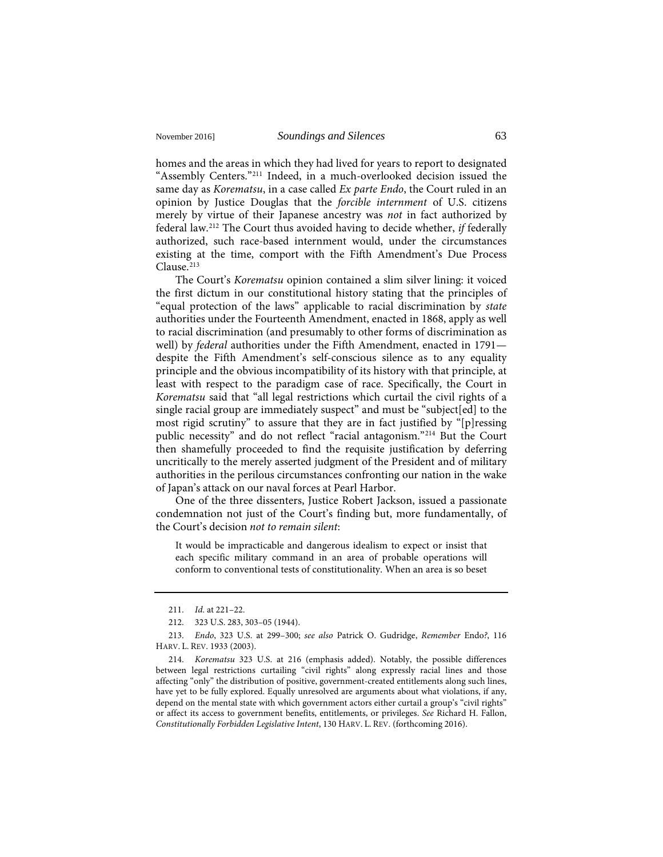## November 2016] *Soundings and Silences* 63

homes and the areas in which they had lived for years to report to designated "Assembly Centers."[211](#page-38-0) Indeed, in a much-overlooked decision issued the same day as *Korematsu*, in a case called *Ex parte Endo*, the Court ruled in an opinion by Justice Douglas that the *forcible internment* of U.S. citizens merely by virtue of their Japanese ancestry was *not* in fact authorized by federal law.[212](#page-38-1) The Court thus avoided having to decide whether, *if* federally authorized, such race-based internment would, under the circumstances existing at the time, comport with the Fifth Amendment's Due Process Clause.<sup>[213](#page-38-2)</sup>

The Court's *Korematsu* opinion contained a slim silver lining: it voiced the first dictum in our constitutional history stating that the principles of "equal protection of the laws" applicable to racial discrimination by *state* authorities under the Fourteenth Amendment, enacted in 1868, apply as well to racial discrimination (and presumably to other forms of discrimination as well) by *federal* authorities under the Fifth Amendment, enacted in 1791 despite the Fifth Amendment's self-conscious silence as to any equality principle and the obvious incompatibility of its history with that principle, at least with respect to the paradigm case of race. Specifically, the Court in *Korematsu* said that "all legal restrictions which curtail the civil rights of a single racial group are immediately suspect" and must be "subject[ed] to the most rigid scrutiny" to assure that they are in fact justified by "[p]ressing public necessity" and do not reflect "racial antagonism."[214](#page-38-3) But the Court then shamefully proceeded to find the requisite justification by deferring uncritically to the merely asserted judgment of the President and of military authorities in the perilous circumstances confronting our nation in the wake of Japan's attack on our naval forces at Pearl Harbor.

One of the three dissenters, Justice Robert Jackson, issued a passionate condemnation not just of the Court's finding but, more fundamentally, of the Court's decision *not to remain silent*:

It would be impracticable and dangerous idealism to expect or insist that each specific military command in an area of probable operations will conform to conventional tests of constitutionality. When an area is so beset

<sup>211.</sup> *Id.* at 221–22.

<sup>212. 323</sup> U.S. 283, 303–05 (1944).

<span id="page-38-2"></span><span id="page-38-1"></span><span id="page-38-0"></span><sup>213.</sup> *Endo*, 323 U.S. at 299–300; *see also* Patrick O. Gudridge, *Remember* Endo*?*, 116 HARV. L. REV. 1933 (2003).

<span id="page-38-3"></span><sup>214.</sup> *Korematsu* 323 U.S. at 216 (emphasis added). Notably, the possible differences between legal restrictions curtailing "civil rights" along expressly racial lines and those affecting "only" the distribution of positive, government-created entitlements along such lines, have yet to be fully explored. Equally unresolved are arguments about what violations, if any, depend on the mental state with which government actors either curtail a group's "civil rights" or affect its access to government benefits, entitlements, or privileges. *See* Richard H. Fallon, *Constitutionally Forbidden Legislative Intent*, 130 HARV. L. REV. (forthcoming 2016).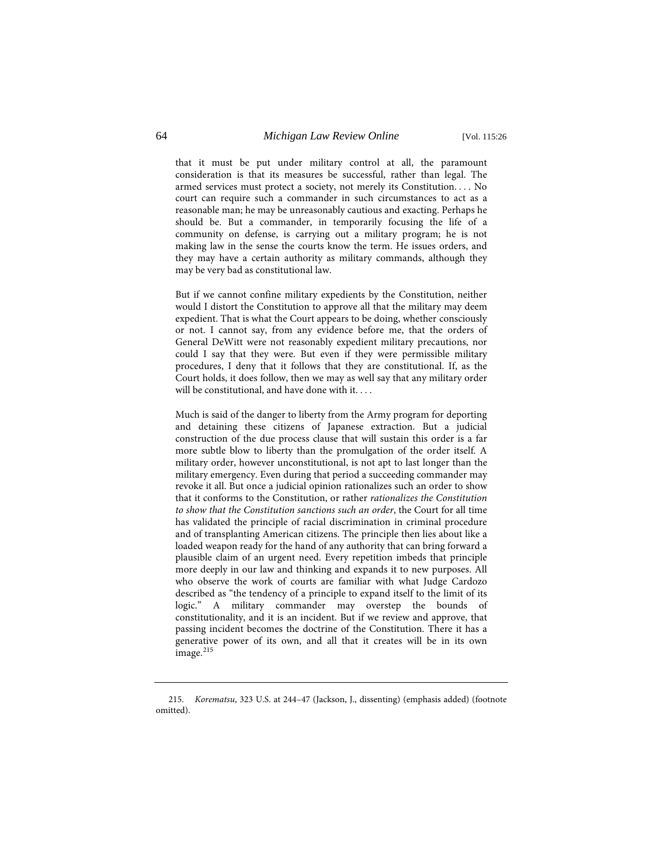that it must be put under military control at all, the paramount consideration is that its measures be successful, rather than legal. The armed services must protect a society, not merely its Constitution. . . . No court can require such a commander in such circumstances to act as a reasonable man; he may be unreasonably cautious and exacting. Perhaps he should be. But a commander, in temporarily focusing the life of a community on defense, is carrying out a military program; he is not making law in the sense the courts know the term. He issues orders, and they may have a certain authority as military commands, although they may be very bad as constitutional law.

But if we cannot confine military expedients by the Constitution, neither would I distort the Constitution to approve all that the military may deem expedient. That is what the Court appears to be doing, whether consciously or not. I cannot say, from any evidence before me, that the orders of General DeWitt were not reasonably expedient military precautions, nor could I say that they were. But even if they were permissible military procedures, I deny that it follows that they are constitutional. If, as the Court holds, it does follow, then we may as well say that any military order will be constitutional, and have done with it. . . .

Much is said of the danger to liberty from the Army program for deporting and detaining these citizens of Japanese extraction. But a judicial construction of the due process clause that will sustain this order is a far more subtle blow to liberty than the promulgation of the order itself. A military order, however unconstitutional, is not apt to last longer than the military emergency. Even during that period a succeeding commander may revoke it all. But once a judicial opinion rationalizes such an order to show that it conforms to the Constitution, or rather *rationalizes the Constitution to show that the Constitution sanctions such an order*, the Court for all time has validated the principle of racial discrimination in criminal procedure and of transplanting American citizens. The principle then lies about like a loaded weapon ready for the hand of any authority that can bring forward a plausible claim of an urgent need. Every repetition imbeds that principle more deeply in our law and thinking and expands it to new purposes. All who observe the work of courts are familiar with what Judge Cardozo described as "the tendency of a principle to expand itself to the limit of its logic." A military commander may overstep the bounds of constitutionality, and it is an incident. But if we review and approve, that passing incident becomes the doctrine of the Constitution. There it has a generative power of its own, and all that it creates will be in its own image.<sup>[215](#page-39-0)</sup>

<span id="page-39-0"></span><sup>215.</sup> *Korematsu*, 323 U.S. at 244–47 (Jackson, J., dissenting) (emphasis added) (footnote omitted).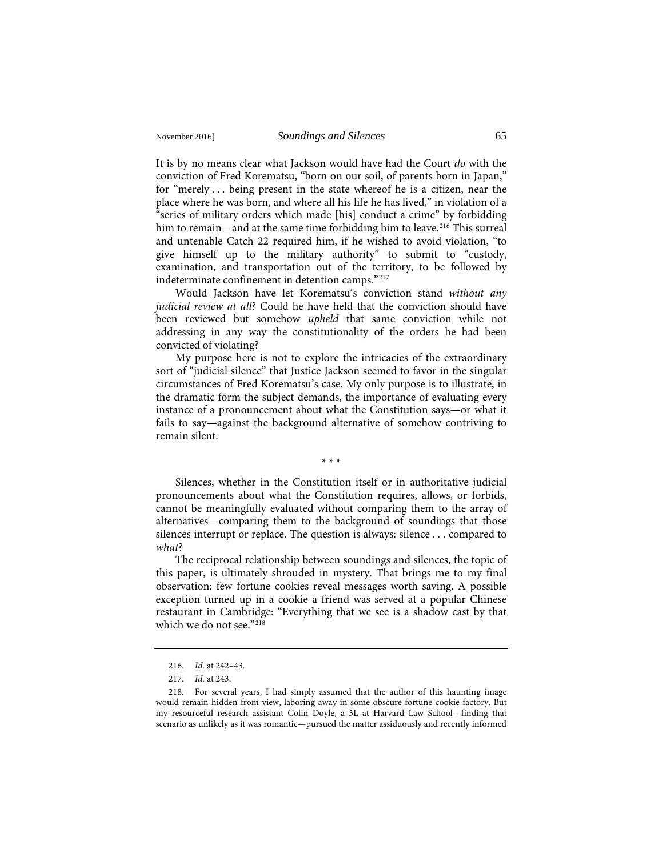#### November 2016] *Soundings and Silences* 65

It is by no means clear what Jackson would have had the Court *do* with the conviction of Fred Korematsu, "born on our soil, of parents born in Japan," for "merely . . . being present in the state whereof he is a citizen, near the place where he was born, and where all his life he has lived," in violation of a "series of military orders which made [his] conduct a crime" by forbidding him to remain—and at the same time forbidding him to leave.<sup>[216](#page-40-0)</sup> This surreal and untenable Catch 22 required him, if he wished to avoid violation, "to give himself up to the military authority" to submit to "custody, examination, and transportation out of the territory, to be followed by indeterminate confinement in detention camps."[217](#page-40-1)

Would Jackson have let Korematsu's conviction stand *without any judicial review at all*? Could he have held that the conviction should have been reviewed but somehow *upheld* that same conviction while not addressing in any way the constitutionality of the orders he had been convicted of violating?

My purpose here is not to explore the intricacies of the extraordinary sort of "judicial silence" that Justice Jackson seemed to favor in the singular circumstances of Fred Korematsu's case. My only purpose is to illustrate, in the dramatic form the subject demands, the importance of evaluating every instance of a pronouncement about what the Constitution says—or what it fails to say—against the background alternative of somehow contriving to remain silent.

\* \* \*

Silences, whether in the Constitution itself or in authoritative judicial pronouncements about what the Constitution requires, allows, or forbids, cannot be meaningfully evaluated without comparing them to the array of alternatives—comparing them to the background of soundings that those silences interrupt or replace. The question is always: silence . . . compared to *what*?

The reciprocal relationship between soundings and silences, the topic of this paper, is ultimately shrouded in mystery. That brings me to my final observation: few fortune cookies reveal messages worth saving. A possible exception turned up in a cookie a friend was served at a popular Chinese restaurant in Cambridge: "Everything that we see is a shadow cast by that which we do not see."<sup>[218](#page-40-2)</sup>

<sup>216.</sup> *Id.* at 242–43.

<sup>217.</sup> *Id.* at 243.

<span id="page-40-2"></span><span id="page-40-1"></span><span id="page-40-0"></span><sup>218.</sup> For several years, I had simply assumed that the author of this haunting image would remain hidden from view, laboring away in some obscure fortune cookie factory. But my resourceful research assistant Colin Doyle, a 3L at Harvard Law School—finding that scenario as unlikely as it was romantic—pursued the matter assiduously and recently informed